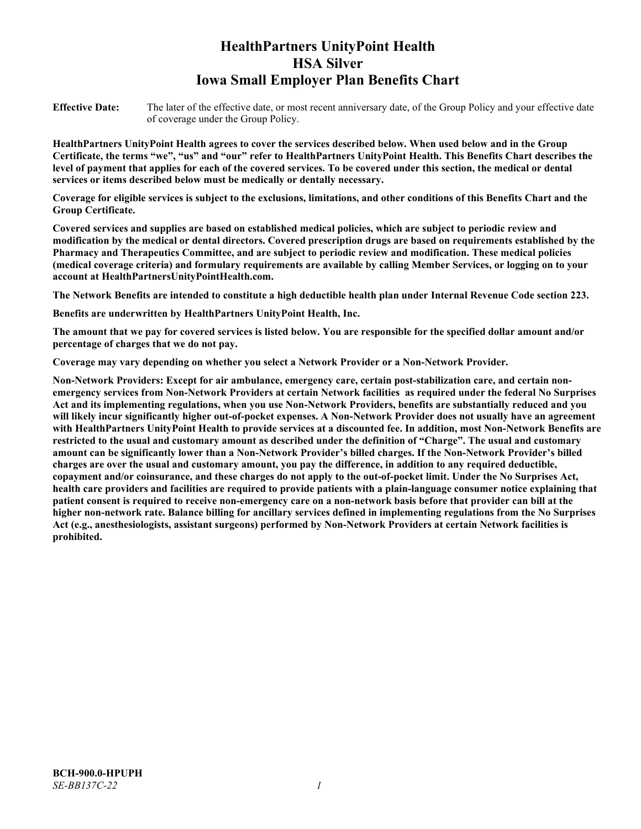# **HealthPartners UnityPoint Health HSA Silver Iowa Small Employer Plan Benefits Chart**

**Effective Date:** The later of the effective date, or most recent anniversary date, of the Group Policy and your effective date of coverage under the Group Policy.

**HealthPartners UnityPoint Health agrees to cover the services described below. When used below and in the Group Certificate, the terms "we", "us" and "our" refer to HealthPartners UnityPoint Health. This Benefits Chart describes the level of payment that applies for each of the covered services. To be covered under this section, the medical or dental services or items described below must be medically or dentally necessary.**

**Coverage for eligible services is subject to the exclusions, limitations, and other conditions of this Benefits Chart and the Group Certificate.** 

**Covered services and supplies are based on established medical policies, which are subject to periodic review and modification by the medical or dental directors. Covered prescription drugs are based on requirements established by the Pharmacy and Therapeutics Committee, and are subject to periodic review and modification. These medical policies (medical coverage criteria) and formulary requirements are available by calling Member Services, or logging on to your account at [HealthPartnersUnityPointHealth.com.](https://www.healthpartnersunitypointhealth.com/)**

**The Network Benefits are intended to constitute a high deductible health plan under Internal Revenue Code section 223.**

**Benefits are underwritten by HealthPartners UnityPoint Health, Inc.**

**The amount that we pay for covered services is listed below. You are responsible for the specified dollar amount and/or percentage of charges that we do not pay.**

**Coverage may vary depending on whether you select a Network Provider or a Non-Network Provider.**

**Non-Network Providers: Except for air ambulance, emergency care, certain post-stabilization care, and certain nonemergency services from Non-Network Providers at certain Network facilities as required under the federal No Surprises Act and its implementing regulations, when you use Non-Network Providers, benefits are substantially reduced and you will likely incur significantly higher out-of-pocket expenses. A Non-Network Provider does not usually have an agreement with HealthPartners UnityPoint Health to provide services at a discounted fee. In addition, most Non-Network Benefits are restricted to the usual and customary amount as described under the definition of "Charge". The usual and customary amount can be significantly lower than a Non-Network Provider's billed charges. If the Non-Network Provider's billed charges are over the usual and customary amount, you pay the difference, in addition to any required deductible, copayment and/or coinsurance, and these charges do not apply to the out-of-pocket limit. Under the No Surprises Act, health care providers and facilities are required to provide patients with a plain-language consumer notice explaining that patient consent is required to receive non-emergency care on a non-network basis before that provider can bill at the higher non-network rate. Balance billing for ancillary services defined in implementing regulations from the No Surprises Act (e.g., anesthesiologists, assistant surgeons) performed by Non-Network Providers at certain Network facilities is prohibited.**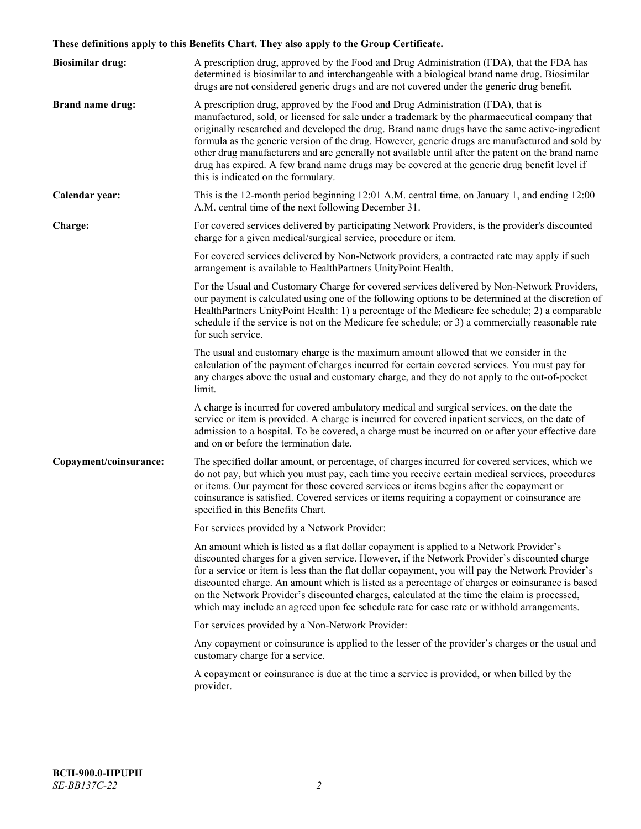# **These definitions apply to this Benefits Chart. They also apply to the Group Certificate.**

| <b>Biosimilar drug:</b> | A prescription drug, approved by the Food and Drug Administration (FDA), that the FDA has<br>determined is biosimilar to and interchangeable with a biological brand name drug. Biosimilar<br>drugs are not considered generic drugs and are not covered under the generic drug benefit.                                                                                                                                                                                                                                                                                                                                           |
|-------------------------|------------------------------------------------------------------------------------------------------------------------------------------------------------------------------------------------------------------------------------------------------------------------------------------------------------------------------------------------------------------------------------------------------------------------------------------------------------------------------------------------------------------------------------------------------------------------------------------------------------------------------------|
| <b>Brand name drug:</b> | A prescription drug, approved by the Food and Drug Administration (FDA), that is<br>manufactured, sold, or licensed for sale under a trademark by the pharmaceutical company that<br>originally researched and developed the drug. Brand name drugs have the same active-ingredient<br>formula as the generic version of the drug. However, generic drugs are manufactured and sold by<br>other drug manufacturers and are generally not available until after the patent on the brand name<br>drug has expired. A few brand name drugs may be covered at the generic drug benefit level if<br>this is indicated on the formulary. |
| Calendar year:          | This is the 12-month period beginning 12:01 A.M. central time, on January 1, and ending 12:00<br>A.M. central time of the next following December 31.                                                                                                                                                                                                                                                                                                                                                                                                                                                                              |
| Charge:                 | For covered services delivered by participating Network Providers, is the provider's discounted<br>charge for a given medical/surgical service, procedure or item.                                                                                                                                                                                                                                                                                                                                                                                                                                                                 |
|                         | For covered services delivered by Non-Network providers, a contracted rate may apply if such<br>arrangement is available to HealthPartners UnityPoint Health.                                                                                                                                                                                                                                                                                                                                                                                                                                                                      |
|                         | For the Usual and Customary Charge for covered services delivered by Non-Network Providers,<br>our payment is calculated using one of the following options to be determined at the discretion of<br>HealthPartners UnityPoint Health: 1) a percentage of the Medicare fee schedule; 2) a comparable<br>schedule if the service is not on the Medicare fee schedule; or 3) a commercially reasonable rate<br>for such service.                                                                                                                                                                                                     |
|                         | The usual and customary charge is the maximum amount allowed that we consider in the<br>calculation of the payment of charges incurred for certain covered services. You must pay for<br>any charges above the usual and customary charge, and they do not apply to the out-of-pocket<br>limit.                                                                                                                                                                                                                                                                                                                                    |
|                         | A charge is incurred for covered ambulatory medical and surgical services, on the date the<br>service or item is provided. A charge is incurred for covered inpatient services, on the date of<br>admission to a hospital. To be covered, a charge must be incurred on or after your effective date<br>and on or before the termination date.                                                                                                                                                                                                                                                                                      |
| Copayment/coinsurance:  | The specified dollar amount, or percentage, of charges incurred for covered services, which we<br>do not pay, but which you must pay, each time you receive certain medical services, procedures<br>or items. Our payment for those covered services or items begins after the copayment or<br>coinsurance is satisfied. Covered services or items requiring a copayment or coinsurance are<br>specified in this Benefits Chart.                                                                                                                                                                                                   |
|                         | For services provided by a Network Provider:                                                                                                                                                                                                                                                                                                                                                                                                                                                                                                                                                                                       |
|                         | An amount which is listed as a flat dollar copayment is applied to a Network Provider's<br>discounted charges for a given service. However, if the Network Provider's discounted charge<br>for a service or item is less than the flat dollar copayment, you will pay the Network Provider's<br>discounted charge. An amount which is listed as a percentage of charges or coinsurance is based<br>on the Network Provider's discounted charges, calculated at the time the claim is processed,<br>which may include an agreed upon fee schedule rate for case rate or withhold arrangements.                                      |
|                         | For services provided by a Non-Network Provider:                                                                                                                                                                                                                                                                                                                                                                                                                                                                                                                                                                                   |
|                         | Any copayment or coinsurance is applied to the lesser of the provider's charges or the usual and<br>customary charge for a service.                                                                                                                                                                                                                                                                                                                                                                                                                                                                                                |
|                         | A copayment or coinsurance is due at the time a service is provided, or when billed by the<br>provider.                                                                                                                                                                                                                                                                                                                                                                                                                                                                                                                            |
|                         |                                                                                                                                                                                                                                                                                                                                                                                                                                                                                                                                                                                                                                    |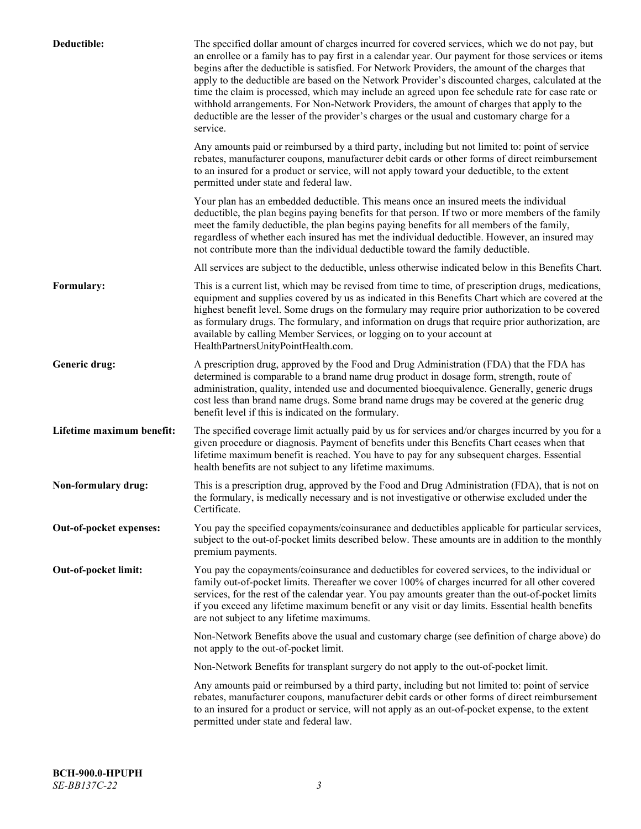| Deductible:               | The specified dollar amount of charges incurred for covered services, which we do not pay, but<br>an enrollee or a family has to pay first in a calendar year. Our payment for those services or items<br>begins after the deductible is satisfied. For Network Providers, the amount of the charges that<br>apply to the deductible are based on the Network Provider's discounted charges, calculated at the<br>time the claim is processed, which may include an agreed upon fee schedule rate for case rate or<br>withhold arrangements. For Non-Network Providers, the amount of charges that apply to the<br>deductible are the lesser of the provider's charges or the usual and customary charge for a<br>service. |
|---------------------------|----------------------------------------------------------------------------------------------------------------------------------------------------------------------------------------------------------------------------------------------------------------------------------------------------------------------------------------------------------------------------------------------------------------------------------------------------------------------------------------------------------------------------------------------------------------------------------------------------------------------------------------------------------------------------------------------------------------------------|
|                           | Any amounts paid or reimbursed by a third party, including but not limited to: point of service<br>rebates, manufacturer coupons, manufacturer debit cards or other forms of direct reimbursement<br>to an insured for a product or service, will not apply toward your deductible, to the extent<br>permitted under state and federal law.                                                                                                                                                                                                                                                                                                                                                                                |
|                           | Your plan has an embedded deductible. This means once an insured meets the individual<br>deductible, the plan begins paying benefits for that person. If two or more members of the family<br>meet the family deductible, the plan begins paying benefits for all members of the family,<br>regardless of whether each insured has met the individual deductible. However, an insured may<br>not contribute more than the individual deductible toward the family deductible.                                                                                                                                                                                                                                              |
|                           | All services are subject to the deductible, unless otherwise indicated below in this Benefits Chart.                                                                                                                                                                                                                                                                                                                                                                                                                                                                                                                                                                                                                       |
| Formulary:                | This is a current list, which may be revised from time to time, of prescription drugs, medications,<br>equipment and supplies covered by us as indicated in this Benefits Chart which are covered at the<br>highest benefit level. Some drugs on the formulary may require prior authorization to be covered<br>as formulary drugs. The formulary, and information on drugs that require prior authorization, are<br>available by calling Member Services, or logging on to your account at<br>HealthPartnersUnityPointHealth.com.                                                                                                                                                                                         |
| Generic drug:             | A prescription drug, approved by the Food and Drug Administration (FDA) that the FDA has<br>determined is comparable to a brand name drug product in dosage form, strength, route of<br>administration, quality, intended use and documented bioequivalence. Generally, generic drugs<br>cost less than brand name drugs. Some brand name drugs may be covered at the generic drug<br>benefit level if this is indicated on the formulary.                                                                                                                                                                                                                                                                                 |
| Lifetime maximum benefit: | The specified coverage limit actually paid by us for services and/or charges incurred by you for a<br>given procedure or diagnosis. Payment of benefits under this Benefits Chart ceases when that<br>lifetime maximum benefit is reached. You have to pay for any subsequent charges. Essential<br>health benefits are not subject to any lifetime maximums.                                                                                                                                                                                                                                                                                                                                                              |
| Non-formulary drug:       | This is a prescription drug, approved by the Food and Drug Administration (FDA), that is not on<br>the formulary, is medically necessary and is not investigative or otherwise excluded under the<br>Certificate.                                                                                                                                                                                                                                                                                                                                                                                                                                                                                                          |
| Out-of-pocket expenses:   | You pay the specified copayments/coinsurance and deductibles applicable for particular services,<br>subject to the out-of-pocket limits described below. These amounts are in addition to the monthly<br>premium payments.                                                                                                                                                                                                                                                                                                                                                                                                                                                                                                 |
| Out-of-pocket limit:      | You pay the copayments/coinsurance and deductibles for covered services, to the individual or<br>family out-of-pocket limits. Thereafter we cover 100% of charges incurred for all other covered<br>services, for the rest of the calendar year. You pay amounts greater than the out-of-pocket limits<br>if you exceed any lifetime maximum benefit or any visit or day limits. Essential health benefits<br>are not subject to any lifetime maximums.                                                                                                                                                                                                                                                                    |
|                           | Non-Network Benefits above the usual and customary charge (see definition of charge above) do<br>not apply to the out-of-pocket limit.                                                                                                                                                                                                                                                                                                                                                                                                                                                                                                                                                                                     |
|                           | Non-Network Benefits for transplant surgery do not apply to the out-of-pocket limit.                                                                                                                                                                                                                                                                                                                                                                                                                                                                                                                                                                                                                                       |
|                           | Any amounts paid or reimbursed by a third party, including but not limited to: point of service<br>rebates, manufacturer coupons, manufacturer debit cards or other forms of direct reimbursement<br>to an insured for a product or service, will not apply as an out-of-pocket expense, to the extent<br>permitted under state and federal law.                                                                                                                                                                                                                                                                                                                                                                           |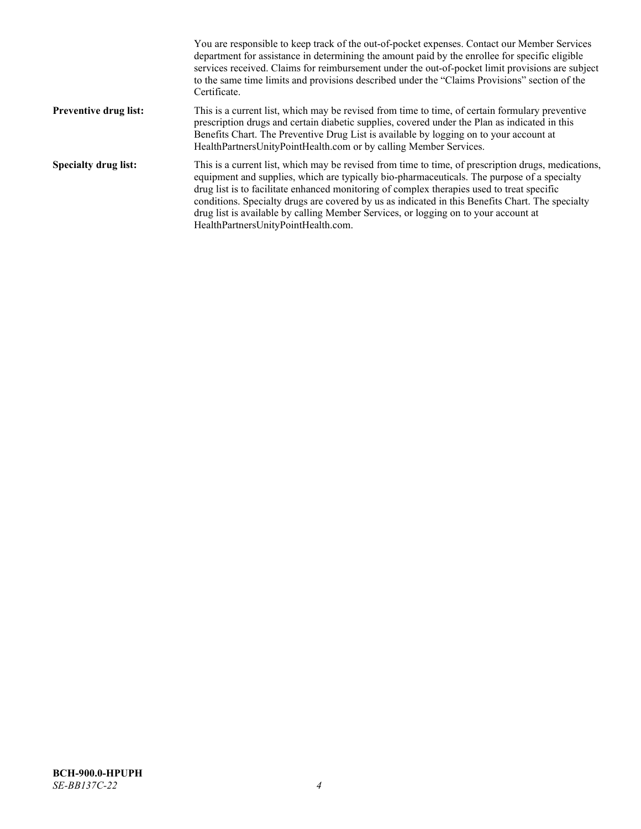|                              | You are responsible to keep track of the out-of-pocket expenses. Contact our Member Services<br>department for assistance in determining the amount paid by the enrollee for specific eligible<br>services received. Claims for reimbursement under the out-of-pocket limit provisions are subject<br>to the same time limits and provisions described under the "Claims Provisions" section of the<br>Certificate.                                                                                                                |
|------------------------------|------------------------------------------------------------------------------------------------------------------------------------------------------------------------------------------------------------------------------------------------------------------------------------------------------------------------------------------------------------------------------------------------------------------------------------------------------------------------------------------------------------------------------------|
| <b>Preventive drug list:</b> | This is a current list, which may be revised from time to time, of certain formulary preventive<br>prescription drugs and certain diabetic supplies, covered under the Plan as indicated in this<br>Benefits Chart. The Preventive Drug List is available by logging on to your account at<br>HealthPartnersUnityPointHealth.com or by calling Member Services.                                                                                                                                                                    |
| <b>Specialty drug list:</b>  | This is a current list, which may be revised from time to time, of prescription drugs, medications,<br>equipment and supplies, which are typically bio-pharmaceuticals. The purpose of a specialty<br>drug list is to facilitate enhanced monitoring of complex therapies used to treat specific<br>conditions. Specialty drugs are covered by us as indicated in this Benefits Chart. The specialty<br>drug list is available by calling Member Services, or logging on to your account at<br>HealthPartnersUnityPointHealth.com. |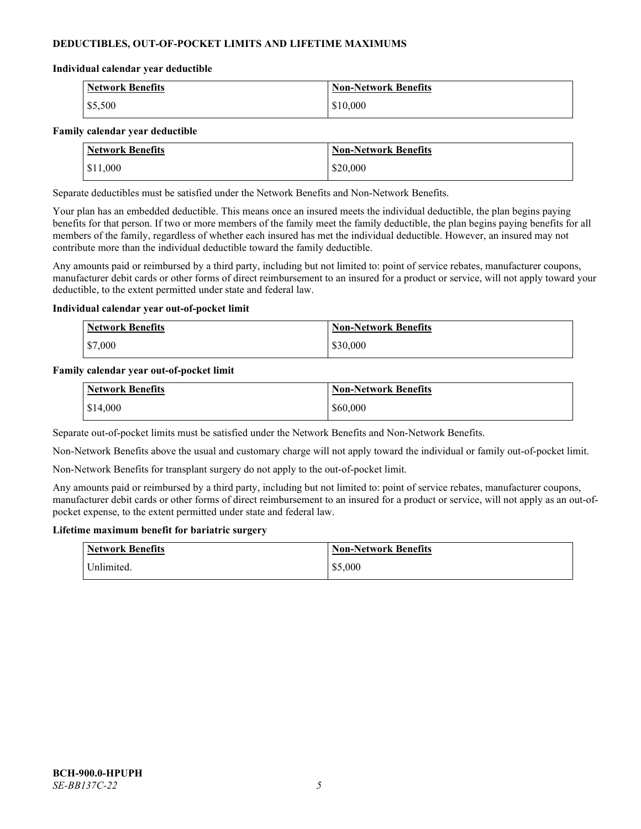# **DEDUCTIBLES, OUT-OF-POCKET LIMITS AND LIFETIME MAXIMUMS**

#### **Individual calendar year deductible**

| <b>Network Benefits</b> | <b>Non-Network Benefits</b> |
|-------------------------|-----------------------------|
| \$5,500                 | \$10,000                    |

#### **Family calendar year deductible**

| <b>Network Benefits</b> | <b>Non-Network Benefits</b> |
|-------------------------|-----------------------------|
| \$11,000                | \$20,000                    |

Separate deductibles must be satisfied under the Network Benefits and Non-Network Benefits.

Your plan has an embedded deductible. This means once an insured meets the individual deductible, the plan begins paying benefits for that person. If two or more members of the family meet the family deductible, the plan begins paying benefits for all members of the family, regardless of whether each insured has met the individual deductible. However, an insured may not contribute more than the individual deductible toward the family deductible.

Any amounts paid or reimbursed by a third party, including but not limited to: point of service rebates, manufacturer coupons, manufacturer debit cards or other forms of direct reimbursement to an insured for a product or service, will not apply toward your deductible, to the extent permitted under state and federal law.

#### **Individual calendar year out-of-pocket limit**

| <b>Network Benefits</b> | <b>Non-Network Benefits</b> |
|-------------------------|-----------------------------|
| \$7,000                 | \$30,000                    |

#### **Family calendar year out-of-pocket limit**

| <b>Network Benefits</b> | <b>Non-Network Benefits</b> |
|-------------------------|-----------------------------|
| \$14,000                | \$60,000                    |

Separate out-of-pocket limits must be satisfied under the Network Benefits and Non-Network Benefits.

Non-Network Benefits above the usual and customary charge will not apply toward the individual or family out-of-pocket limit.

Non-Network Benefits for transplant surgery do not apply to the out-of-pocket limit.

Any amounts paid or reimbursed by a third party, including but not limited to: point of service rebates, manufacturer coupons, manufacturer debit cards or other forms of direct reimbursement to an insured for a product or service, will not apply as an out-ofpocket expense, to the extent permitted under state and federal law.

#### **Lifetime maximum benefit for bariatric surgery**

| <b>Network Benefits</b> | <b>Non-Network Benefits</b> |
|-------------------------|-----------------------------|
| <sup>I</sup> Inlimited. | \$5,000                     |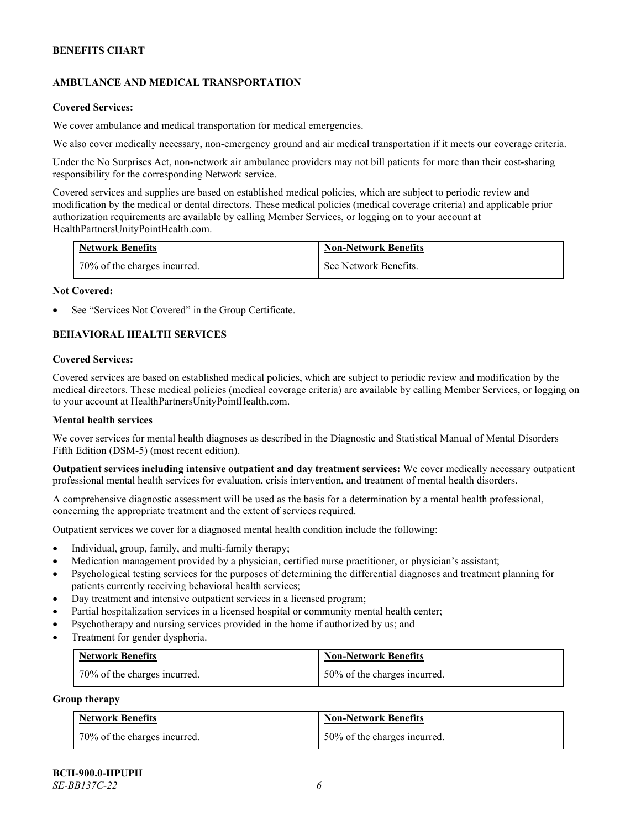# **AMBULANCE AND MEDICAL TRANSPORTATION**

#### **Covered Services:**

We cover ambulance and medical transportation for medical emergencies.

We also cover medically necessary, non-emergency ground and air medical transportation if it meets our coverage criteria.

Under the No Surprises Act, non-network air ambulance providers may not bill patients for more than their cost-sharing responsibility for the corresponding Network service.

Covered services and supplies are based on established medical policies, which are subject to periodic review and modification by the medical or dental directors. These medical policies (medical coverage criteria) and applicable prior authorization requirements are available by calling Member Services, or logging on to your account at [HealthPartnersUnityPointHealth.com.](https://www.healthpartnersunitypointhealth.com/)

| <b>Network Benefits</b>      | <b>Non-Network Benefits</b> |
|------------------------------|-----------------------------|
| 70% of the charges incurred. | See Network Benefits.       |

#### **Not Covered:**

See "Services Not Covered" in the Group Certificate.

# **BEHAVIORAL HEALTH SERVICES**

#### **Covered Services:**

Covered services are based on established medical policies, which are subject to periodic review and modification by the medical directors. These medical policies (medical coverage criteria) are available by calling Member Services, or logging on to your account at [HealthPartnersUnityPointHealth.com.](https://www.healthpartnersunitypointhealth.com/)

### **Mental health services**

We cover services for mental health diagnoses as described in the Diagnostic and Statistical Manual of Mental Disorders – Fifth Edition (DSM-5) (most recent edition).

**Outpatient services including intensive outpatient and day treatment services:** We cover medically necessary outpatient professional mental health services for evaluation, crisis intervention, and treatment of mental health disorders.

A comprehensive diagnostic assessment will be used as the basis for a determination by a mental health professional, concerning the appropriate treatment and the extent of services required.

Outpatient services we cover for a diagnosed mental health condition include the following:

- Individual, group, family, and multi-family therapy;
- Medication management provided by a physician, certified nurse practitioner, or physician's assistant;
- Psychological testing services for the purposes of determining the differential diagnoses and treatment planning for patients currently receiving behavioral health services;
- Day treatment and intensive outpatient services in a licensed program;
- Partial hospitalization services in a licensed hospital or community mental health center;
- Psychotherapy and nursing services provided in the home if authorized by us; and
- Treatment for gender dysphoria.

| <b>Network Benefits</b>      | <b>Non-Network Benefits</b>  |
|------------------------------|------------------------------|
| 70% of the charges incurred. | 50% of the charges incurred. |

#### **Group therapy**

| <b>Network Benefits</b>      | <b>Non-Network Benefits</b>  |
|------------------------------|------------------------------|
| 70% of the charges incurred. | 50% of the charges incurred. |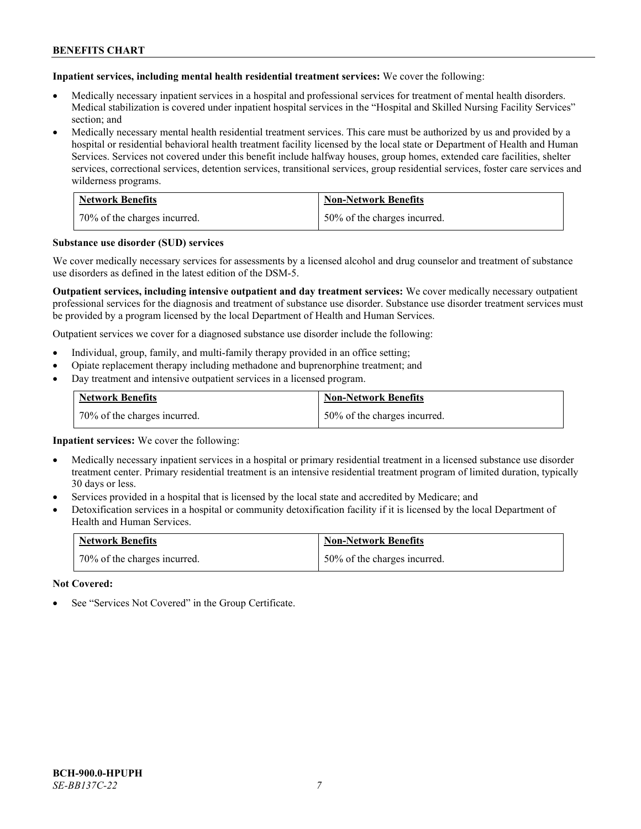**Inpatient services, including mental health residential treatment services:** We cover the following:

- Medically necessary inpatient services in a hospital and professional services for treatment of mental health disorders. Medical stabilization is covered under inpatient hospital services in the "Hospital and Skilled Nursing Facility Services" section; and
- Medically necessary mental health residential treatment services. This care must be authorized by us and provided by a hospital or residential behavioral health treatment facility licensed by the local state or Department of Health and Human Services. Services not covered under this benefit include halfway houses, group homes, extended care facilities, shelter services, correctional services, detention services, transitional services, group residential services, foster care services and wilderness programs.

| <b>Network Benefits</b>      | <b>Non-Network Benefits</b>  |
|------------------------------|------------------------------|
| 70% of the charges incurred. | 50% of the charges incurred. |

#### **Substance use disorder (SUD) services**

We cover medically necessary services for assessments by a licensed alcohol and drug counselor and treatment of substance use disorders as defined in the latest edition of the DSM-5.

**Outpatient services, including intensive outpatient and day treatment services:** We cover medically necessary outpatient professional services for the diagnosis and treatment of substance use disorder. Substance use disorder treatment services must be provided by a program licensed by the local Department of Health and Human Services.

Outpatient services we cover for a diagnosed substance use disorder include the following:

- Individual, group, family, and multi-family therapy provided in an office setting;
- Opiate replacement therapy including methadone and buprenorphine treatment; and
- Day treatment and intensive outpatient services in a licensed program.

| <b>Network Benefits</b>      | <b>Non-Network Benefits</b>  |
|------------------------------|------------------------------|
| 70% of the charges incurred. | 50% of the charges incurred. |

**Inpatient services:** We cover the following:

- Medically necessary inpatient services in a hospital or primary residential treatment in a licensed substance use disorder treatment center. Primary residential treatment is an intensive residential treatment program of limited duration, typically 30 days or less.
- Services provided in a hospital that is licensed by the local state and accredited by Medicare; and
- Detoxification services in a hospital or community detoxification facility if it is licensed by the local Department of Health and Human Services.

| <b>Network Benefits</b>      | Non-Network Benefits         |
|------------------------------|------------------------------|
| 70% of the charges incurred. | 50% of the charges incurred. |

**Not Covered:**

See "Services Not Covered" in the Group Certificate.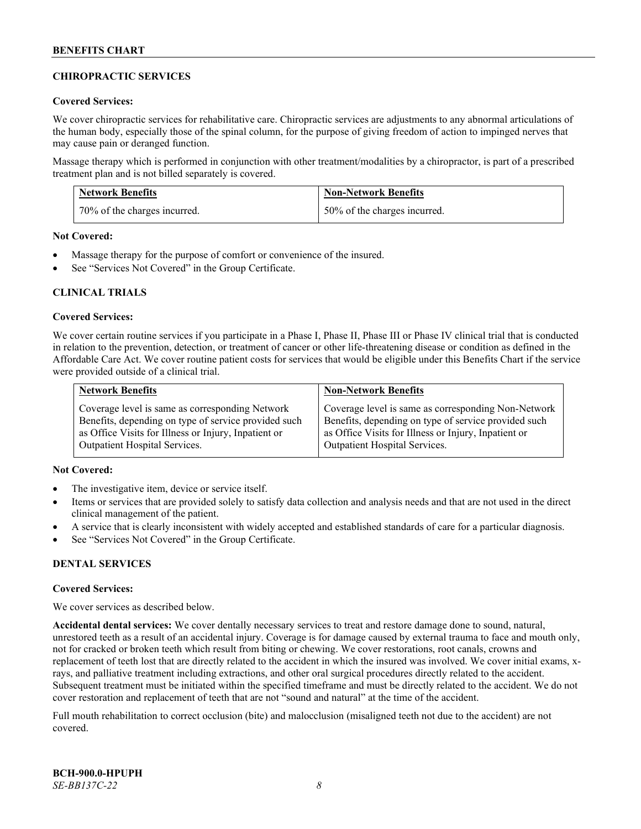## **CHIROPRACTIC SERVICES**

### **Covered Services:**

We cover chiropractic services for rehabilitative care. Chiropractic services are adjustments to any abnormal articulations of the human body, especially those of the spinal column, for the purpose of giving freedom of action to impinged nerves that may cause pain or deranged function.

Massage therapy which is performed in conjunction with other treatment/modalities by a chiropractor, is part of a prescribed treatment plan and is not billed separately is covered.

| <b>Network Benefits</b>      | <b>Non-Network Benefits</b>  |
|------------------------------|------------------------------|
| 70% of the charges incurred. | 50% of the charges incurred. |

**Not Covered:**

- Massage therapy for the purpose of comfort or convenience of the insured.
- See "Services Not Covered" in the Group Certificate.

### **CLINICAL TRIALS**

#### **Covered Services:**

We cover certain routine services if you participate in a Phase I, Phase II, Phase III or Phase IV clinical trial that is conducted in relation to the prevention, detection, or treatment of cancer or other life-threatening disease or condition as defined in the Affordable Care Act. We cover routine patient costs for services that would be eligible under this Benefits Chart if the service were provided outside of a clinical trial.

| <b>Network Benefits</b>                              | <b>Non-Network Benefits</b>                          |
|------------------------------------------------------|------------------------------------------------------|
| Coverage level is same as corresponding Network      | Coverage level is same as corresponding Non-Network  |
| Benefits, depending on type of service provided such | Benefits, depending on type of service provided such |
| as Office Visits for Illness or Injury, Inpatient or | as Office Visits for Illness or Injury, Inpatient or |
| <b>Outpatient Hospital Services.</b>                 | <b>Outpatient Hospital Services.</b>                 |

### **Not Covered:**

- The investigative item, device or service itself.
- Items or services that are provided solely to satisfy data collection and analysis needs and that are not used in the direct clinical management of the patient.
- A service that is clearly inconsistent with widely accepted and established standards of care for a particular diagnosis.
- See "Services Not Covered" in the Group Certificate.

### **DENTAL SERVICES**

#### **Covered Services:**

We cover services as described below.

**Accidental dental services:** We cover dentally necessary services to treat and restore damage done to sound, natural, unrestored teeth as a result of an accidental injury. Coverage is for damage caused by external trauma to face and mouth only, not for cracked or broken teeth which result from biting or chewing. We cover restorations, root canals, crowns and replacement of teeth lost that are directly related to the accident in which the insured was involved. We cover initial exams, xrays, and palliative treatment including extractions, and other oral surgical procedures directly related to the accident. Subsequent treatment must be initiated within the specified timeframe and must be directly related to the accident. We do not cover restoration and replacement of teeth that are not "sound and natural" at the time of the accident.

Full mouth rehabilitation to correct occlusion (bite) and malocclusion (misaligned teeth not due to the accident) are not covered.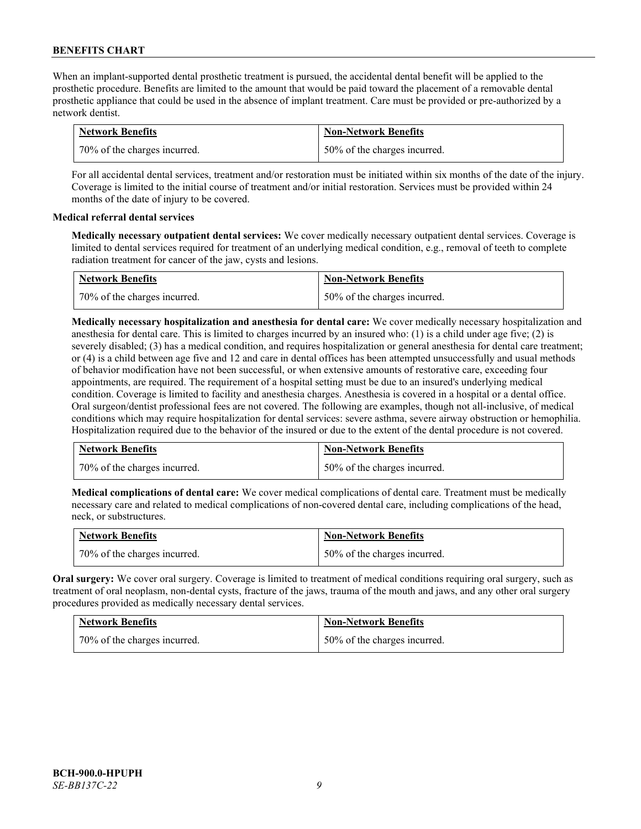When an implant-supported dental prosthetic treatment is pursued, the accidental dental benefit will be applied to the prosthetic procedure. Benefits are limited to the amount that would be paid toward the placement of a removable dental prosthetic appliance that could be used in the absence of implant treatment. Care must be provided or pre-authorized by a network dentist.

| <b>Network Benefits</b>      | <b>Non-Network Benefits</b>  |
|------------------------------|------------------------------|
| 70% of the charges incurred. | 50% of the charges incurred. |

For all accidental dental services, treatment and/or restoration must be initiated within six months of the date of the injury. Coverage is limited to the initial course of treatment and/or initial restoration. Services must be provided within 24 months of the date of injury to be covered.

### **Medical referral dental services**

**Medically necessary outpatient dental services:** We cover medically necessary outpatient dental services. Coverage is limited to dental services required for treatment of an underlying medical condition, e.g., removal of teeth to complete radiation treatment for cancer of the jaw, cysts and lesions.

| <b>Network Benefits</b>      | <b>Non-Network Benefits</b>  |
|------------------------------|------------------------------|
| 70% of the charges incurred. | 50% of the charges incurred. |

**Medically necessary hospitalization and anesthesia for dental care:** We cover medically necessary hospitalization and anesthesia for dental care. This is limited to charges incurred by an insured who: (1) is a child under age five; (2) is severely disabled; (3) has a medical condition, and requires hospitalization or general anesthesia for dental care treatment; or (4) is a child between age five and 12 and care in dental offices has been attempted unsuccessfully and usual methods of behavior modification have not been successful, or when extensive amounts of restorative care, exceeding four appointments, are required. The requirement of a hospital setting must be due to an insured's underlying medical condition. Coverage is limited to facility and anesthesia charges. Anesthesia is covered in a hospital or a dental office. Oral surgeon/dentist professional fees are not covered. The following are examples, though not all-inclusive, of medical conditions which may require hospitalization for dental services: severe asthma, severe airway obstruction or hemophilia. Hospitalization required due to the behavior of the insured or due to the extent of the dental procedure is not covered.

| <b>Network Benefits</b>      | <b>Non-Network Benefits</b>  |
|------------------------------|------------------------------|
| 70% of the charges incurred. | 50% of the charges incurred. |

**Medical complications of dental care:** We cover medical complications of dental care. Treatment must be medically necessary care and related to medical complications of non-covered dental care, including complications of the head, neck, or substructures.

| <b>Network Benefits</b>      | <b>Non-Network Benefits</b>  |
|------------------------------|------------------------------|
| 70% of the charges incurred. | 50% of the charges incurred. |

**Oral surgery:** We cover oral surgery. Coverage is limited to treatment of medical conditions requiring oral surgery, such as treatment of oral neoplasm, non-dental cysts, fracture of the jaws, trauma of the mouth and jaws, and any other oral surgery procedures provided as medically necessary dental services.

| <b>Network Benefits</b>      | <b>Non-Network Benefits</b>  |
|------------------------------|------------------------------|
| 70% of the charges incurred. | 50% of the charges incurred. |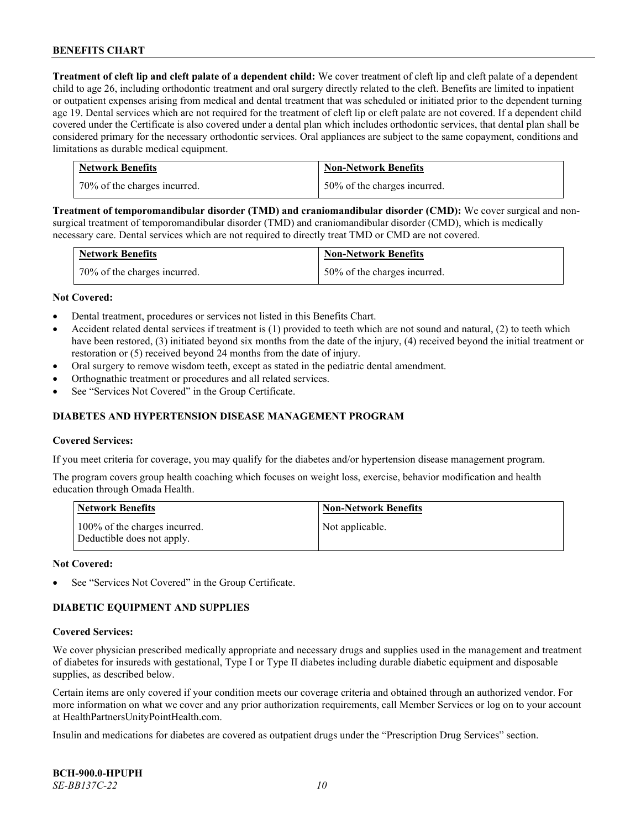**Treatment of cleft lip and cleft palate of a dependent child:** We cover treatment of cleft lip and cleft palate of a dependent child to age 26, including orthodontic treatment and oral surgery directly related to the cleft. Benefits are limited to inpatient or outpatient expenses arising from medical and dental treatment that was scheduled or initiated prior to the dependent turning age 19. Dental services which are not required for the treatment of cleft lip or cleft palate are not covered. If a dependent child covered under the Certificate is also covered under a dental plan which includes orthodontic services, that dental plan shall be considered primary for the necessary orthodontic services. Oral appliances are subject to the same copayment, conditions and limitations as durable medical equipment.

| <b>Network Benefits</b>      | <b>Non-Network Benefits</b>  |
|------------------------------|------------------------------|
| 70% of the charges incurred. | 50% of the charges incurred. |

**Treatment of temporomandibular disorder (TMD) and craniomandibular disorder (CMD):** We cover surgical and nonsurgical treatment of temporomandibular disorder (TMD) and craniomandibular disorder (CMD), which is medically necessary care. Dental services which are not required to directly treat TMD or CMD are not covered.

| <b>Network Benefits</b>      | <b>Non-Network Benefits</b>  |
|------------------------------|------------------------------|
| 70% of the charges incurred. | 50% of the charges incurred. |

#### **Not Covered:**

- Dental treatment, procedures or services not listed in this Benefits Chart.
- Accident related dental services if treatment is (1) provided to teeth which are not sound and natural, (2) to teeth which have been restored, (3) initiated beyond six months from the date of the injury, (4) received beyond the initial treatment or restoration or (5) received beyond 24 months from the date of injury.
- Oral surgery to remove wisdom teeth, except as stated in the pediatric dental amendment.
- Orthognathic treatment or procedures and all related services.
- See "Services Not Covered" in the Group Certificate.

### **DIABETES AND HYPERTENSION DISEASE MANAGEMENT PROGRAM**

#### **Covered Services:**

If you meet criteria for coverage, you may qualify for the diabetes and/or hypertension disease management program.

The program covers group health coaching which focuses on weight loss, exercise, behavior modification and health education through Omada Health.

| <b>Network Benefits</b>                                     | <b>Non-Network Benefits</b> |
|-------------------------------------------------------------|-----------------------------|
| 100% of the charges incurred.<br>Deductible does not apply. | Not applicable.             |

#### **Not Covered:**

See "Services Not Covered" in the Group Certificate.

### **DIABETIC EQUIPMENT AND SUPPLIES**

#### **Covered Services:**

We cover physician prescribed medically appropriate and necessary drugs and supplies used in the management and treatment of diabetes for insureds with gestational, Type I or Type II diabetes including durable diabetic equipment and disposable supplies, as described below.

Certain items are only covered if your condition meets our coverage criteria and obtained through an authorized vendor. For more information on what we cover and any prior authorization requirements, call Member Services or log on to your account at [HealthPartnersUnityPointHealth.com.](https://www.healthpartnersunitypointhealth.com/)

Insulin and medications for diabetes are covered as outpatient drugs under the "Prescription Drug Services" section.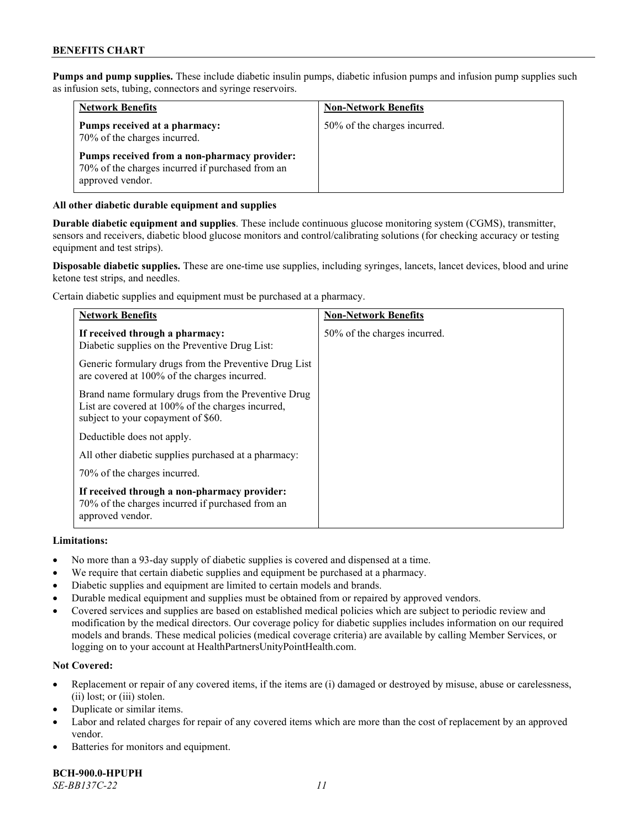**Pumps and pump supplies.** These include diabetic insulin pumps, diabetic infusion pumps and infusion pump supplies such as infusion sets, tubing, connectors and syringe reservoirs.

| <b>Network Benefits</b>                                                                                              | <b>Non-Network Benefits</b>  |
|----------------------------------------------------------------------------------------------------------------------|------------------------------|
| Pumps received at a pharmacy:<br>70% of the charges incurred.                                                        | 50% of the charges incurred. |
| Pumps received from a non-pharmacy provider:<br>70% of the charges incurred if purchased from an<br>approved vendor. |                              |

### **All other diabetic durable equipment and supplies**

**Durable diabetic equipment and supplies**. These include continuous glucose monitoring system (CGMS), transmitter, sensors and receivers, diabetic blood glucose monitors and control/calibrating solutions (for checking accuracy or testing equipment and test strips).

**Disposable diabetic supplies.** These are one-time use supplies, including syringes, lancets, lancet devices, blood and urine ketone test strips, and needles.

Certain diabetic supplies and equipment must be purchased at a pharmacy.

| <b>Network Benefits</b>                                                                                                                        | <b>Non-Network Benefits</b>  |
|------------------------------------------------------------------------------------------------------------------------------------------------|------------------------------|
| If received through a pharmacy:<br>Diabetic supplies on the Preventive Drug List:                                                              | 50% of the charges incurred. |
| Generic formulary drugs from the Preventive Drug List<br>are covered at 100% of the charges incurred.                                          |                              |
| Brand name formulary drugs from the Preventive Drug<br>List are covered at 100% of the charges incurred,<br>subject to your copayment of \$60. |                              |
| Deductible does not apply.                                                                                                                     |                              |
| All other diabetic supplies purchased at a pharmacy:                                                                                           |                              |
| 70% of the charges incurred.                                                                                                                   |                              |
| If received through a non-pharmacy provider:<br>70% of the charges incurred if purchased from an<br>approved vendor.                           |                              |

#### **Limitations:**

- No more than a 93-day supply of diabetic supplies is covered and dispensed at a time.
- We require that certain diabetic supplies and equipment be purchased at a pharmacy.
- Diabetic supplies and equipment are limited to certain models and brands.
- Durable medical equipment and supplies must be obtained from or repaired by approved vendors.
- Covered services and supplies are based on established medical policies which are subject to periodic review and modification by the medical directors. Our coverage policy for diabetic supplies includes information on our required models and brands. These medical policies (medical coverage criteria) are available by calling Member Services, or logging on to your account a[t HealthPartnersUnityPointHealth.com.](https://www.healthpartnersunitypointhealth.com/)

### **Not Covered:**

- Replacement or repair of any covered items, if the items are (i) damaged or destroyed by misuse, abuse or carelessness, (ii) lost; or (iii) stolen.
- Duplicate or similar items.
- Labor and related charges for repair of any covered items which are more than the cost of replacement by an approved vendor.
- Batteries for monitors and equipment.

**BCH-900.0-HPUPH** *SE-BB137C-22 11*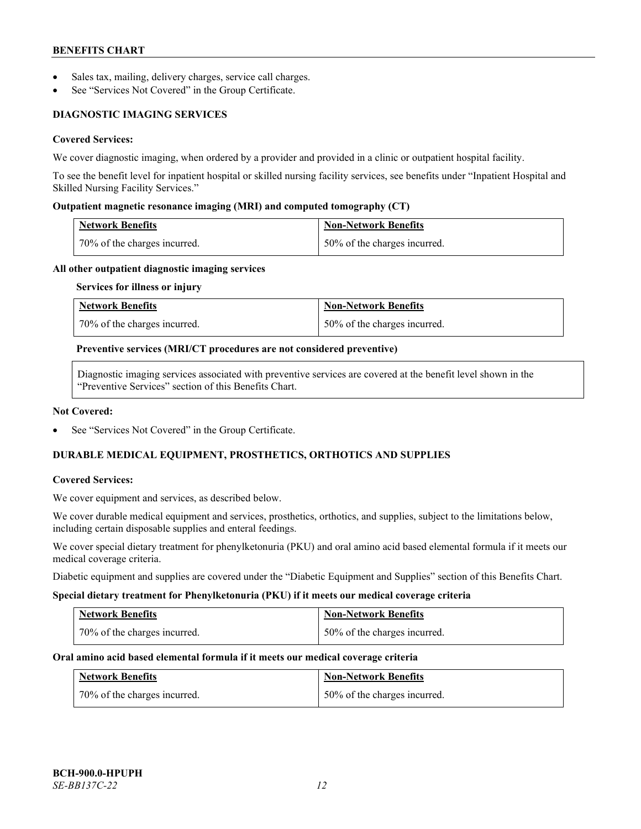- Sales tax, mailing, delivery charges, service call charges.
- See "Services Not Covered" in the Group Certificate.

# **DIAGNOSTIC IMAGING SERVICES**

### **Covered Services:**

We cover diagnostic imaging, when ordered by a provider and provided in a clinic or outpatient hospital facility.

To see the benefit level for inpatient hospital or skilled nursing facility services, see benefits under "Inpatient Hospital and Skilled Nursing Facility Services."

### **Outpatient magnetic resonance imaging (MRI) and computed tomography (CT)**

| <b>Network Benefits</b>          | <b>Non-Network Benefits</b>  |
|----------------------------------|------------------------------|
| $170\%$ of the charges incurred. | 50% of the charges incurred. |

#### **All other outpatient diagnostic imaging services**

#### **Services for illness or injury**

| <b>Network Benefits</b>      | <b>Non-Network Benefits</b>  |
|------------------------------|------------------------------|
| 70% of the charges incurred. | 50% of the charges incurred. |

#### **Preventive services (MRI/CT procedures are not considered preventive)**

Diagnostic imaging services associated with preventive services are covered at the benefit level shown in the "Preventive Services" section of this Benefits Chart.

#### **Not Covered:**

See "Services Not Covered" in the Group Certificate.

# **DURABLE MEDICAL EQUIPMENT, PROSTHETICS, ORTHOTICS AND SUPPLIES**

#### **Covered Services:**

We cover equipment and services, as described below.

We cover durable medical equipment and services, prosthetics, orthotics, and supplies, subject to the limitations below, including certain disposable supplies and enteral feedings.

We cover special dietary treatment for phenylketonuria (PKU) and oral amino acid based elemental formula if it meets our medical coverage criteria.

Diabetic equipment and supplies are covered under the "Diabetic Equipment and Supplies" section of this Benefits Chart.

#### **Special dietary treatment for Phenylketonuria (PKU) if it meets our medical coverage criteria**

| <b>Network Benefits</b>      | <b>Non-Network Benefits</b>  |
|------------------------------|------------------------------|
| 70% of the charges incurred. | 50% of the charges incurred. |

#### **Oral amino acid based elemental formula if it meets our medical coverage criteria**

| <b>Network Benefits</b>        | <b>Non-Network Benefits</b>  |
|--------------------------------|------------------------------|
| 1 70% of the charges incurred. | 50% of the charges incurred. |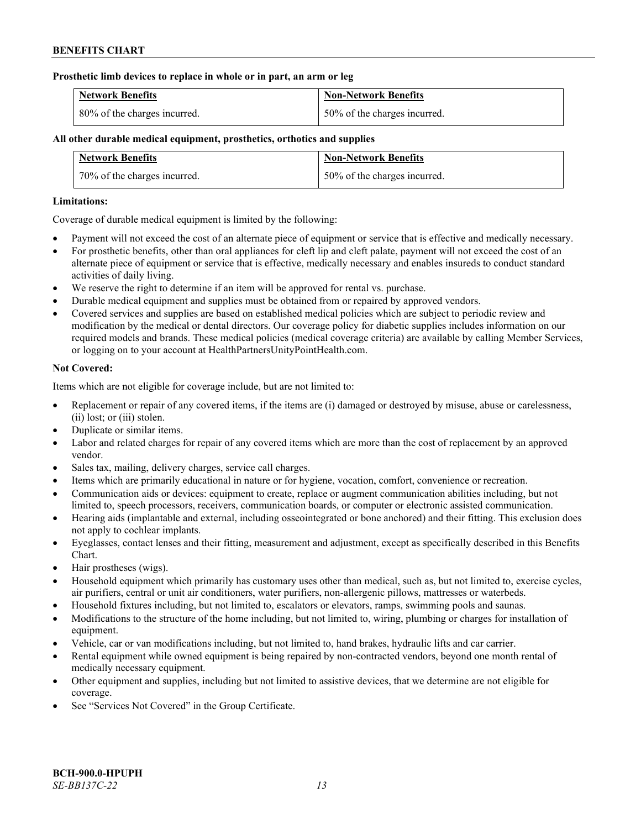#### **Prosthetic limb devices to replace in whole or in part, an arm or leg**

| <b>Network Benefits</b>      | <b>Non-Network Benefits</b>  |
|------------------------------|------------------------------|
| 80% of the charges incurred. | 50% of the charges incurred. |

## **All other durable medical equipment, prosthetics, orthotics and supplies**

| <b>Network Benefits</b>      | <b>Non-Network Benefits</b>  |
|------------------------------|------------------------------|
| 70% of the charges incurred. | 50% of the charges incurred. |

### **Limitations:**

Coverage of durable medical equipment is limited by the following:

- Payment will not exceed the cost of an alternate piece of equipment or service that is effective and medically necessary.
- For prosthetic benefits, other than oral appliances for cleft lip and cleft palate, payment will not exceed the cost of an alternate piece of equipment or service that is effective, medically necessary and enables insureds to conduct standard activities of daily living.
- We reserve the right to determine if an item will be approved for rental vs. purchase.
- Durable medical equipment and supplies must be obtained from or repaired by approved vendors.
- Covered services and supplies are based on established medical policies which are subject to periodic review and modification by the medical or dental directors. Our coverage policy for diabetic supplies includes information on our required models and brands. These medical policies (medical coverage criteria) are available by calling Member Services, or logging on to your account at [HealthPartnersUnityPointHealth.com.](https://www.healthpartnersunitypointhealth.com/)

### **Not Covered:**

Items which are not eligible for coverage include, but are not limited to:

- Replacement or repair of any covered items, if the items are (i) damaged or destroyed by misuse, abuse or carelessness, (ii) lost; or (iii) stolen.
- Duplicate or similar items.
- Labor and related charges for repair of any covered items which are more than the cost of replacement by an approved vendor.
- Sales tax, mailing, delivery charges, service call charges.
- Items which are primarily educational in nature or for hygiene, vocation, comfort, convenience or recreation.
- Communication aids or devices: equipment to create, replace or augment communication abilities including, but not limited to, speech processors, receivers, communication boards, or computer or electronic assisted communication.
- Hearing aids (implantable and external, including osseointegrated or bone anchored) and their fitting. This exclusion does not apply to cochlear implants.
- Eyeglasses, contact lenses and their fitting, measurement and adjustment, except as specifically described in this Benefits Chart.
- Hair prostheses (wigs).
- Household equipment which primarily has customary uses other than medical, such as, but not limited to, exercise cycles, air purifiers, central or unit air conditioners, water purifiers, non-allergenic pillows, mattresses or waterbeds.
- Household fixtures including, but not limited to, escalators or elevators, ramps, swimming pools and saunas.
- Modifications to the structure of the home including, but not limited to, wiring, plumbing or charges for installation of equipment.
- Vehicle, car or van modifications including, but not limited to, hand brakes, hydraulic lifts and car carrier.
- Rental equipment while owned equipment is being repaired by non-contracted vendors, beyond one month rental of medically necessary equipment.
- Other equipment and supplies, including but not limited to assistive devices, that we determine are not eligible for coverage.
- See "Services Not Covered" in the Group Certificate.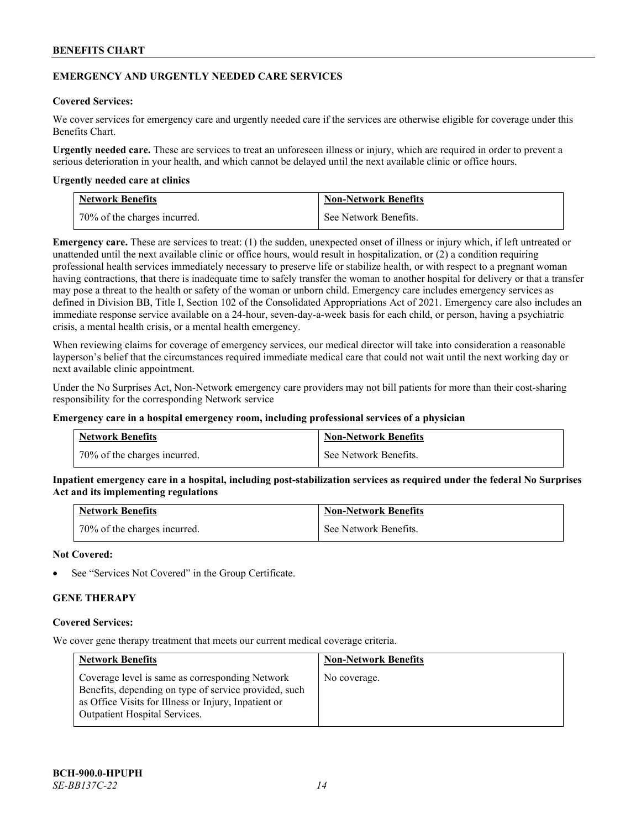### **EMERGENCY AND URGENTLY NEEDED CARE SERVICES**

### **Covered Services:**

We cover services for emergency care and urgently needed care if the services are otherwise eligible for coverage under this Benefits Chart.

**Urgently needed care.** These are services to treat an unforeseen illness or injury, which are required in order to prevent a serious deterioration in your health, and which cannot be delayed until the next available clinic or office hours.

#### **Urgently needed care at clinics**

| <b>Network Benefits</b>        | <b>Non-Network Benefits</b> |
|--------------------------------|-----------------------------|
| 1 70% of the charges incurred. | See Network Benefits.       |

**Emergency care.** These are services to treat: (1) the sudden, unexpected onset of illness or injury which, if left untreated or unattended until the next available clinic or office hours, would result in hospitalization, or (2) a condition requiring professional health services immediately necessary to preserve life or stabilize health, or with respect to a pregnant woman having contractions, that there is inadequate time to safely transfer the woman to another hospital for delivery or that a transfer may pose a threat to the health or safety of the woman or unborn child. Emergency care includes emergency services as defined in Division BB, Title I, Section 102 of the Consolidated Appropriations Act of 2021. Emergency care also includes an immediate response service available on a 24-hour, seven-day-a-week basis for each child, or person, having a psychiatric crisis, a mental health crisis, or a mental health emergency.

When reviewing claims for coverage of emergency services, our medical director will take into consideration a reasonable layperson's belief that the circumstances required immediate medical care that could not wait until the next working day or next available clinic appointment.

Under the No Surprises Act, Non-Network emergency care providers may not bill patients for more than their cost-sharing responsibility for the corresponding Network service

#### **Emergency care in a hospital emergency room, including professional services of a physician**

| <b>Network Benefits</b>      | <b>Non-Network Benefits</b> |
|------------------------------|-----------------------------|
| 70% of the charges incurred. | See Network Benefits.       |

**Inpatient emergency care in a hospital, including post-stabilization services as required under the federal No Surprises Act and its implementing regulations**

| <b>Network Benefits</b>      | <b>Non-Network Benefits</b> |
|------------------------------|-----------------------------|
| 70% of the charges incurred. | See Network Benefits.       |

### **Not Covered:**

See "Services Not Covered" in the Group Certificate.

### **GENE THERAPY**

#### **Covered Services:**

We cover gene therapy treatment that meets our current medical coverage criteria.

| <b>Network Benefits</b>                                                                                                                                                                                  | <b>Non-Network Benefits</b> |
|----------------------------------------------------------------------------------------------------------------------------------------------------------------------------------------------------------|-----------------------------|
| Coverage level is same as corresponding Network<br>Benefits, depending on type of service provided, such<br>as Office Visits for Illness or Injury, Inpatient or<br><b>Outpatient Hospital Services.</b> | No coverage.                |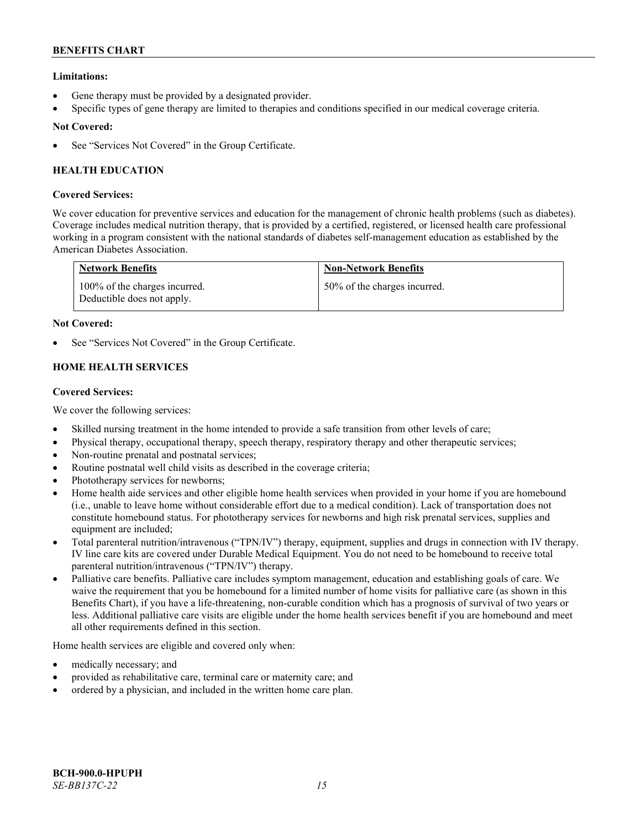## **Limitations:**

- Gene therapy must be provided by a designated provider.
- Specific types of gene therapy are limited to therapies and conditions specified in our medical coverage criteria.

## **Not Covered:**

See "Services Not Covered" in the Group Certificate.

# **HEALTH EDUCATION**

### **Covered Services:**

We cover education for preventive services and education for the management of chronic health problems (such as diabetes). Coverage includes medical nutrition therapy, that is provided by a certified, registered, or licensed health care professional working in a program consistent with the national standards of diabetes self-management education as established by the American Diabetes Association.

| <b>Network Benefits</b>                                     | <b>Non-Network Benefits</b>  |
|-------------------------------------------------------------|------------------------------|
| 100% of the charges incurred.<br>Deductible does not apply. | 50% of the charges incurred. |

### **Not Covered:**

See "Services Not Covered" in the Group Certificate.

# **HOME HEALTH SERVICES**

### **Covered Services:**

We cover the following services:

- Skilled nursing treatment in the home intended to provide a safe transition from other levels of care;
- Physical therapy, occupational therapy, speech therapy, respiratory therapy and other therapeutic services;
- Non-routine prenatal and postnatal services;
- Routine postnatal well child visits as described in the coverage criteria;
- Phototherapy services for newborns;
- Home health aide services and other eligible home health services when provided in your home if you are homebound (i.e., unable to leave home without considerable effort due to a medical condition). Lack of transportation does not constitute homebound status. For phototherapy services for newborns and high risk prenatal services, supplies and equipment are included;
- Total parenteral nutrition/intravenous ("TPN/IV") therapy, equipment, supplies and drugs in connection with IV therapy. IV line care kits are covered under Durable Medical Equipment. You do not need to be homebound to receive total parenteral nutrition/intravenous ("TPN/IV") therapy.
- Palliative care benefits. Palliative care includes symptom management, education and establishing goals of care. We waive the requirement that you be homebound for a limited number of home visits for palliative care (as shown in this Benefits Chart), if you have a life-threatening, non-curable condition which has a prognosis of survival of two years or less. Additional palliative care visits are eligible under the home health services benefit if you are homebound and meet all other requirements defined in this section.

Home health services are eligible and covered only when:

- medically necessary; and
- provided as rehabilitative care, terminal care or maternity care; and
- ordered by a physician, and included in the written home care plan.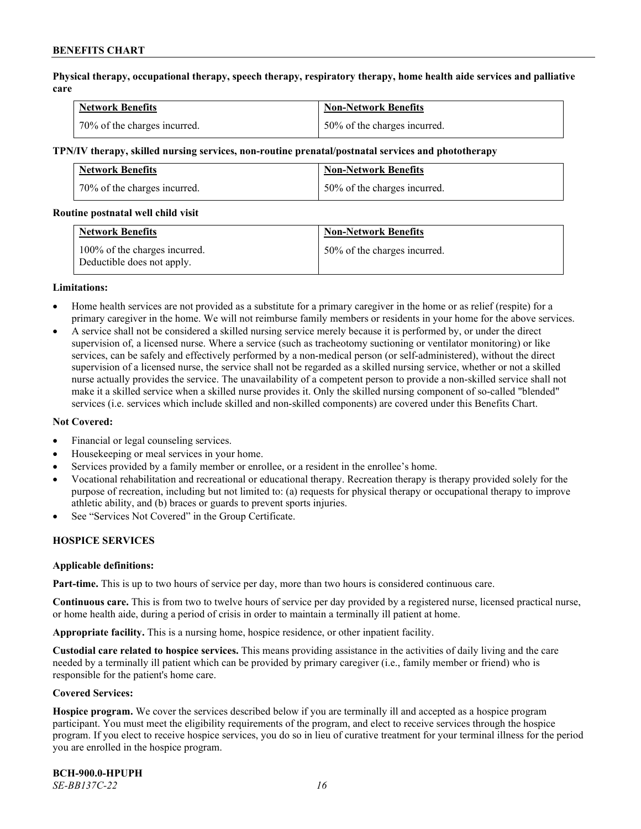**Physical therapy, occupational therapy, speech therapy, respiratory therapy, home health aide services and palliative care**

| <b>Network Benefits</b>      | <b>Non-Network Benefits</b>  |
|------------------------------|------------------------------|
| 70% of the charges incurred. | 50% of the charges incurred. |

#### **TPN/IV therapy, skilled nursing services, non-routine prenatal/postnatal services and phototherapy**

| <b>Network Benefits</b>      | <b>Non-Network Benefits</b>  |
|------------------------------|------------------------------|
| 70% of the charges incurred. | 50% of the charges incurred. |

#### **Routine postnatal well child visit**

| <b>Network Benefits</b>                                     | <b>Non-Network Benefits</b>  |
|-------------------------------------------------------------|------------------------------|
| 100% of the charges incurred.<br>Deductible does not apply. | 50% of the charges incurred. |

#### **Limitations:**

- Home health services are not provided as a substitute for a primary caregiver in the home or as relief (respite) for a primary caregiver in the home. We will not reimburse family members or residents in your home for the above services.
- A service shall not be considered a skilled nursing service merely because it is performed by, or under the direct supervision of, a licensed nurse. Where a service (such as tracheotomy suctioning or ventilator monitoring) or like services, can be safely and effectively performed by a non-medical person (or self-administered), without the direct supervision of a licensed nurse, the service shall not be regarded as a skilled nursing service, whether or not a skilled nurse actually provides the service. The unavailability of a competent person to provide a non-skilled service shall not make it a skilled service when a skilled nurse provides it. Only the skilled nursing component of so-called "blended" services (i.e. services which include skilled and non-skilled components) are covered under this Benefits Chart.

### **Not Covered:**

- Financial or legal counseling services.
- Housekeeping or meal services in your home.
- Services provided by a family member or enrollee, or a resident in the enrollee's home.
- Vocational rehabilitation and recreational or educational therapy. Recreation therapy is therapy provided solely for the purpose of recreation, including but not limited to: (a) requests for physical therapy or occupational therapy to improve athletic ability, and (b) braces or guards to prevent sports injuries.
- See "Services Not Covered" in the Group Certificate.

### **HOSPICE SERVICES**

#### **Applicable definitions:**

**Part-time.** This is up to two hours of service per day, more than two hours is considered continuous care.

**Continuous care.** This is from two to twelve hours of service per day provided by a registered nurse, licensed practical nurse, or home health aide, during a period of crisis in order to maintain a terminally ill patient at home.

**Appropriate facility.** This is a nursing home, hospice residence, or other inpatient facility.

**Custodial care related to hospice services.** This means providing assistance in the activities of daily living and the care needed by a terminally ill patient which can be provided by primary caregiver (i.e., family member or friend) who is responsible for the patient's home care.

#### **Covered Services:**

**Hospice program.** We cover the services described below if you are terminally ill and accepted as a hospice program participant. You must meet the eligibility requirements of the program, and elect to receive services through the hospice program. If you elect to receive hospice services, you do so in lieu of curative treatment for your terminal illness for the period you are enrolled in the hospice program.

**BCH-900.0-HPUPH** *SE-BB137C-22 16*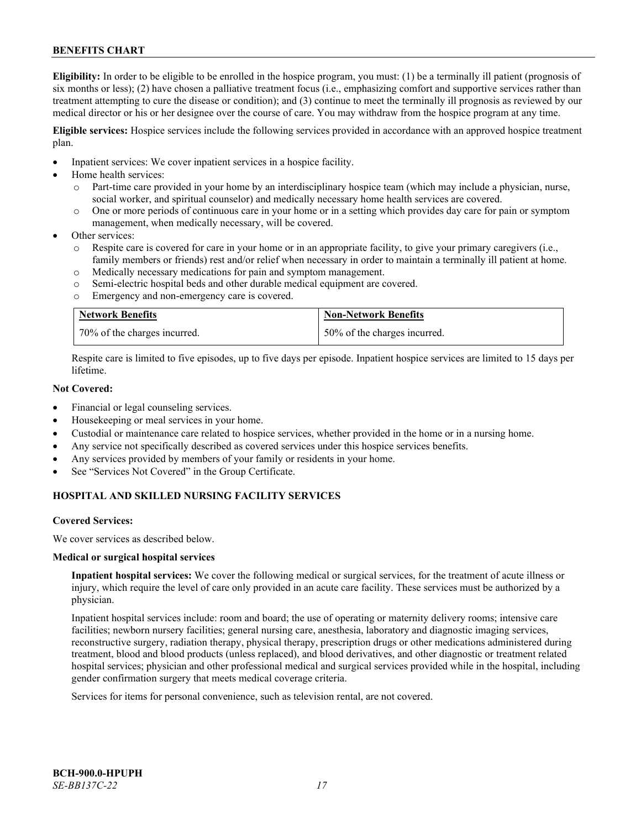**Eligibility:** In order to be eligible to be enrolled in the hospice program, you must: (1) be a terminally ill patient (prognosis of six months or less); (2) have chosen a palliative treatment focus (i.e., emphasizing comfort and supportive services rather than treatment attempting to cure the disease or condition); and (3) continue to meet the terminally ill prognosis as reviewed by our medical director or his or her designee over the course of care. You may withdraw from the hospice program at any time.

**Eligible services:** Hospice services include the following services provided in accordance with an approved hospice treatment plan.

- Inpatient services: We cover inpatient services in a hospice facility.
- Home health services:
	- o Part-time care provided in your home by an interdisciplinary hospice team (which may include a physician, nurse, social worker, and spiritual counselor) and medically necessary home health services are covered.
	- o One or more periods of continuous care in your home or in a setting which provides day care for pain or symptom management, when medically necessary, will be covered.
- Other services:
	- Respite care is covered for care in your home or in an appropriate facility, to give your primary caregivers (i.e., family members or friends) rest and/or relief when necessary in order to maintain a terminally ill patient at home.
	- o Medically necessary medications for pain and symptom management.
	- o Semi-electric hospital beds and other durable medical equipment are covered.
	- o Emergency and non-emergency care is covered.

| <b>Network Benefits</b>      | <b>Non-Network Benefits</b>  |
|------------------------------|------------------------------|
| 70% of the charges incurred. | 50% of the charges incurred. |

Respite care is limited to five episodes, up to five days per episode. Inpatient hospice services are limited to 15 days per lifetime.

### **Not Covered:**

- Financial or legal counseling services.
- Housekeeping or meal services in your home.
- Custodial or maintenance care related to hospice services, whether provided in the home or in a nursing home.
- Any service not specifically described as covered services under this hospice services benefits.
- Any services provided by members of your family or residents in your home.
- See "Services Not Covered" in the Group Certificate.

### **HOSPITAL AND SKILLED NURSING FACILITY SERVICES**

#### **Covered Services:**

We cover services as described below.

#### **Medical or surgical hospital services**

**Inpatient hospital services:** We cover the following medical or surgical services, for the treatment of acute illness or injury, which require the level of care only provided in an acute care facility. These services must be authorized by a physician.

Inpatient hospital services include: room and board; the use of operating or maternity delivery rooms; intensive care facilities; newborn nursery facilities; general nursing care, anesthesia, laboratory and diagnostic imaging services, reconstructive surgery, radiation therapy, physical therapy, prescription drugs or other medications administered during treatment, blood and blood products (unless replaced), and blood derivatives, and other diagnostic or treatment related hospital services; physician and other professional medical and surgical services provided while in the hospital, including gender confirmation surgery that meets medical coverage criteria.

Services for items for personal convenience, such as television rental, are not covered.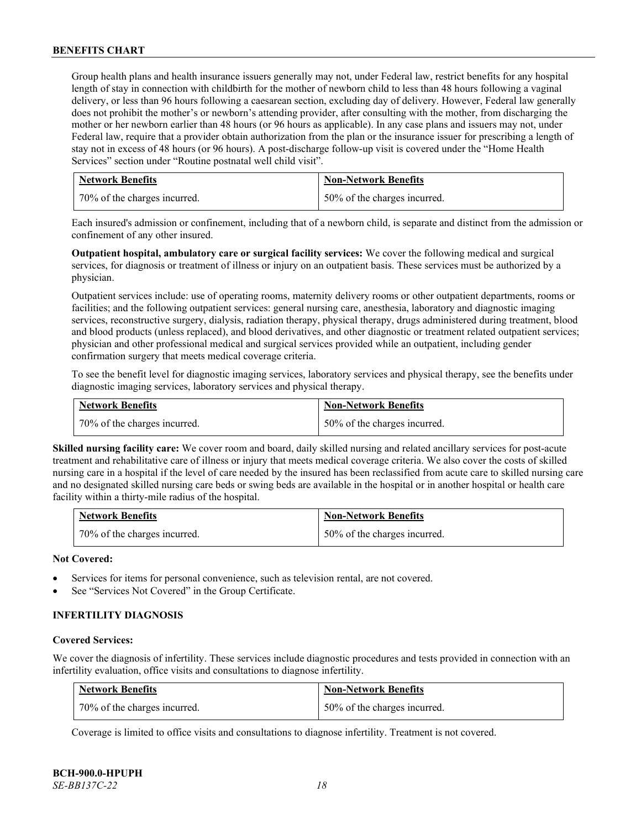Group health plans and health insurance issuers generally may not, under Federal law, restrict benefits for any hospital length of stay in connection with childbirth for the mother of newborn child to less than 48 hours following a vaginal delivery, or less than 96 hours following a caesarean section, excluding day of delivery. However, Federal law generally does not prohibit the mother's or newborn's attending provider, after consulting with the mother, from discharging the mother or her newborn earlier than 48 hours (or 96 hours as applicable). In any case plans and issuers may not, under Federal law, require that a provider obtain authorization from the plan or the insurance issuer for prescribing a length of stay not in excess of 48 hours (or 96 hours). A post-discharge follow-up visit is covered under the "Home Health Services" section under "Routine postnatal well child visit".

| <b>Network Benefits</b>      | <b>Non-Network Benefits</b>      |
|------------------------------|----------------------------------|
| 70% of the charges incurred. | $150\%$ of the charges incurred. |

Each insured's admission or confinement, including that of a newborn child, is separate and distinct from the admission or confinement of any other insured.

**Outpatient hospital, ambulatory care or surgical facility services:** We cover the following medical and surgical services, for diagnosis or treatment of illness or injury on an outpatient basis. These services must be authorized by a physician.

Outpatient services include: use of operating rooms, maternity delivery rooms or other outpatient departments, rooms or facilities; and the following outpatient services: general nursing care, anesthesia, laboratory and diagnostic imaging services, reconstructive surgery, dialysis, radiation therapy, physical therapy, drugs administered during treatment, blood and blood products (unless replaced), and blood derivatives, and other diagnostic or treatment related outpatient services; physician and other professional medical and surgical services provided while an outpatient, including gender confirmation surgery that meets medical coverage criteria.

To see the benefit level for diagnostic imaging services, laboratory services and physical therapy, see the benefits under diagnostic imaging services, laboratory services and physical therapy.

| <b>Network Benefits</b>      | <b>Non-Network Benefits</b>  |
|------------------------------|------------------------------|
| 70% of the charges incurred. | 50% of the charges incurred. |

**Skilled nursing facility care:** We cover room and board, daily skilled nursing and related ancillary services for post-acute treatment and rehabilitative care of illness or injury that meets medical coverage criteria. We also cover the costs of skilled nursing care in a hospital if the level of care needed by the insured has been reclassified from acute care to skilled nursing care and no designated skilled nursing care beds or swing beds are available in the hospital or in another hospital or health care facility within a thirty-mile radius of the hospital.

| <b>Network Benefits</b>      | <b>Non-Network Benefits</b>  |
|------------------------------|------------------------------|
| 70% of the charges incurred. | 50% of the charges incurred. |

### **Not Covered:**

- Services for items for personal convenience, such as television rental, are not covered.
- See "Services Not Covered" in the Group Certificate.

# **INFERTILITY DIAGNOSIS**

#### **Covered Services:**

We cover the diagnosis of infertility. These services include diagnostic procedures and tests provided in connection with an infertility evaluation, office visits and consultations to diagnose infertility.

| <b>Network Benefits</b>      | <b>Non-Network Benefits</b>  |
|------------------------------|------------------------------|
| 70% of the charges incurred. | 50% of the charges incurred. |

Coverage is limited to office visits and consultations to diagnose infertility. Treatment is not covered.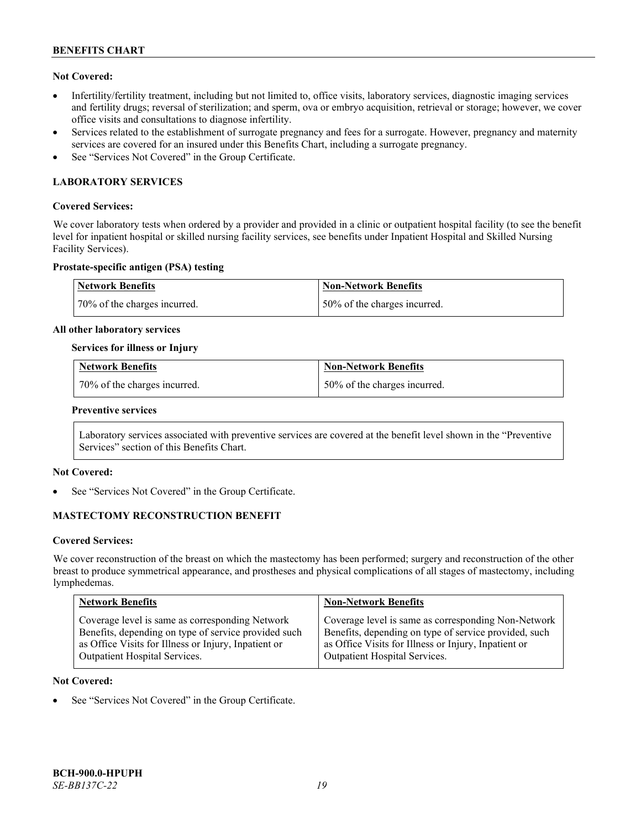## **Not Covered:**

- Infertility/fertility treatment, including but not limited to, office visits, laboratory services, diagnostic imaging services and fertility drugs; reversal of sterilization; and sperm, ova or embryo acquisition, retrieval or storage; however, we cover office visits and consultations to diagnose infertility.
- Services related to the establishment of surrogate pregnancy and fees for a surrogate. However, pregnancy and maternity services are covered for an insured under this Benefits Chart, including a surrogate pregnancy.
- See "Services Not Covered" in the Group Certificate.

# **LABORATORY SERVICES**

### **Covered Services:**

We cover laboratory tests when ordered by a provider and provided in a clinic or outpatient hospital facility (to see the benefit level for inpatient hospital or skilled nursing facility services, see benefits under Inpatient Hospital and Skilled Nursing Facility Services).

#### **Prostate-specific antigen (PSA) testing**

| <b>Network Benefits</b>      | Non-Network Benefits          |
|------------------------------|-------------------------------|
| 70% of the charges incurred. | 150% of the charges incurred. |

#### **All other laboratory services**

#### **Services for illness or Injury**

| <b>Network Benefits</b>        | <b>Non-Network Benefits</b>  |
|--------------------------------|------------------------------|
| 1 70% of the charges incurred. | 50% of the charges incurred. |

#### **Preventive services**

Laboratory services associated with preventive services are covered at the benefit level shown in the "Preventive Services" section of this Benefits Chart.

### **Not Covered:**

See "Services Not Covered" in the Group Certificate.

### **MASTECTOMY RECONSTRUCTION BENEFIT**

#### **Covered Services:**

We cover reconstruction of the breast on which the mastectomy has been performed; surgery and reconstruction of the other breast to produce symmetrical appearance, and prostheses and physical complications of all stages of mastectomy, including lymphedemas.

| <b>Network Benefits</b>                              | <b>Non-Network Benefits</b>                           |
|------------------------------------------------------|-------------------------------------------------------|
| Coverage level is same as corresponding Network      | Coverage level is same as corresponding Non-Network   |
| Benefits, depending on type of service provided such | Benefits, depending on type of service provided, such |
| as Office Visits for Illness or Injury, Inpatient or | as Office Visits for Illness or Injury, Inpatient or  |
| Outpatient Hospital Services.                        | Outpatient Hospital Services.                         |

#### **Not Covered:**

See "Services Not Covered" in the Group Certificate.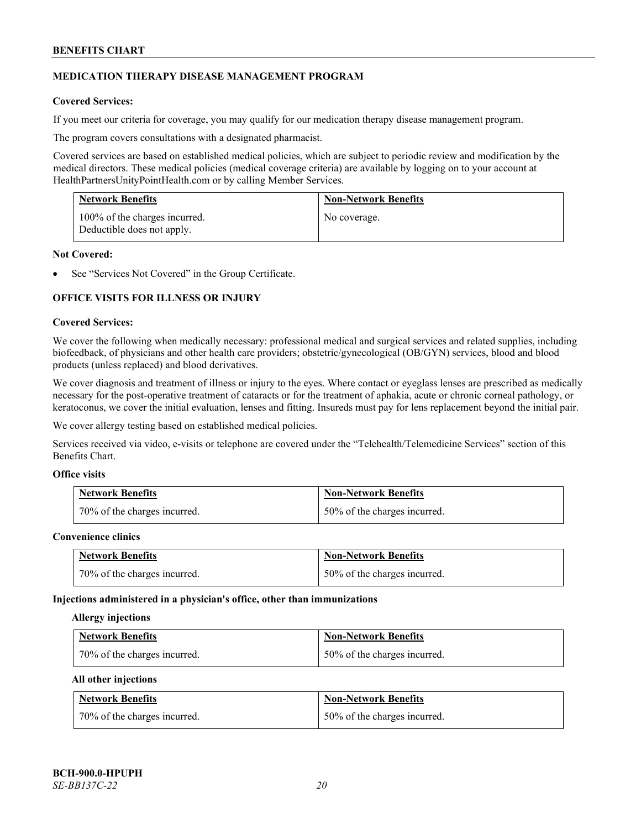### **MEDICATION THERAPY DISEASE MANAGEMENT PROGRAM**

### **Covered Services:**

If you meet our criteria for coverage, you may qualify for our medication therapy disease management program.

The program covers consultations with a designated pharmacist.

Covered services are based on established medical policies, which are subject to periodic review and modification by the medical directors. These medical policies (medical coverage criteria) are available by logging on to your account at [HealthPartnersUnityPointHealth.com](https://www.healthpartnersunitypointhealth.com/) or by calling Member Services.

| <b>Network Benefits</b>                                     | <b>Non-Network Benefits</b> |
|-------------------------------------------------------------|-----------------------------|
| 100% of the charges incurred.<br>Deductible does not apply. | No coverage.                |

### **Not Covered:**

See "Services Not Covered" in the Group Certificate.

### **OFFICE VISITS FOR ILLNESS OR INJURY**

#### **Covered Services:**

We cover the following when medically necessary: professional medical and surgical services and related supplies, including biofeedback, of physicians and other health care providers; obstetric/gynecological (OB/GYN) services, blood and blood products (unless replaced) and blood derivatives.

We cover diagnosis and treatment of illness or injury to the eyes. Where contact or eyeglass lenses are prescribed as medically necessary for the post-operative treatment of cataracts or for the treatment of aphakia, acute or chronic corneal pathology, or keratoconus, we cover the initial evaluation, lenses and fitting. Insureds must pay for lens replacement beyond the initial pair.

We cover allergy testing based on established medical policies.

Services received via video, e-visits or telephone are covered under the "Telehealth/Telemedicine Services" section of this Benefits Chart.

# **Office visits**

| <b>Network Benefits</b>      | <b>Non-Network Benefits</b>  |
|------------------------------|------------------------------|
| 70% of the charges incurred. | 50% of the charges incurred. |

#### **Convenience clinics**

| <b>Network Benefits</b>      | <b>Non-Network Benefits</b>  |
|------------------------------|------------------------------|
| 70% of the charges incurred. | 50% of the charges incurred. |

#### **Injections administered in a physician's office, other than immunizations**

#### **Allergy injections**

| <b>Network Benefits</b>      | <b>Non-Network Benefits</b>  |
|------------------------------|------------------------------|
| 70% of the charges incurred. | 50% of the charges incurred. |

#### **All other injections**

| <b>Network Benefits</b>      | <b>Non-Network Benefits</b>  |
|------------------------------|------------------------------|
| 70% of the charges incurred. | 50% of the charges incurred. |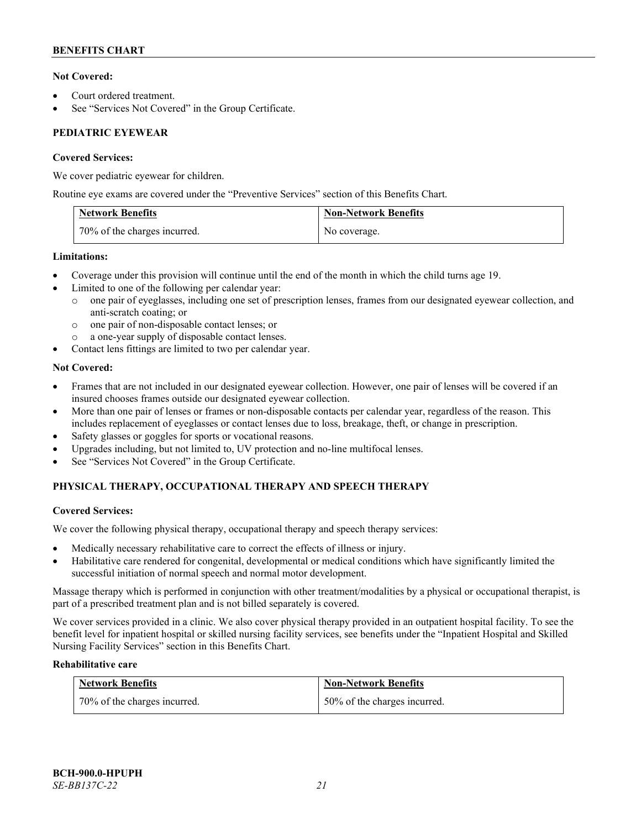## **Not Covered:**

- Court ordered treatment.
- See "Services Not Covered" in the Group Certificate.

# **PEDIATRIC EYEWEAR**

### **Covered Services:**

We cover pediatric eyewear for children.

Routine eye exams are covered under the "Preventive Services" section of this Benefits Chart.

| <b>Network Benefits</b>      | <b>Non-Network Benefits</b> |
|------------------------------|-----------------------------|
| 70% of the charges incurred. | No coverage.                |

### **Limitations:**

- Coverage under this provision will continue until the end of the month in which the child turns age 19.
- Limited to one of the following per calendar year:
	- o one pair of eyeglasses, including one set of prescription lenses, frames from our designated eyewear collection, and anti-scratch coating; or
	- o one pair of non-disposable contact lenses; or
	- a one-year supply of disposable contact lenses.
- Contact lens fittings are limited to two per calendar year.

# **Not Covered:**

- Frames that are not included in our designated eyewear collection. However, one pair of lenses will be covered if an insured chooses frames outside our designated eyewear collection.
- More than one pair of lenses or frames or non-disposable contacts per calendar year, regardless of the reason. This includes replacement of eyeglasses or contact lenses due to loss, breakage, theft, or change in prescription.
- Safety glasses or goggles for sports or vocational reasons.
- Upgrades including, but not limited to, UV protection and no-line multifocal lenses.
- See "Services Not Covered" in the Group Certificate.

# **PHYSICAL THERAPY, OCCUPATIONAL THERAPY AND SPEECH THERAPY**

### **Covered Services:**

We cover the following physical therapy, occupational therapy and speech therapy services:

- Medically necessary rehabilitative care to correct the effects of illness or injury.
- Habilitative care rendered for congenital, developmental or medical conditions which have significantly limited the successful initiation of normal speech and normal motor development.

Massage therapy which is performed in conjunction with other treatment/modalities by a physical or occupational therapist, is part of a prescribed treatment plan and is not billed separately is covered.

We cover services provided in a clinic. We also cover physical therapy provided in an outpatient hospital facility. To see the benefit level for inpatient hospital or skilled nursing facility services, see benefits under the "Inpatient Hospital and Skilled Nursing Facility Services" section in this Benefits Chart.

# **Rehabilitative care**

| <b>Network Benefits</b>      | <b>Non-Network Benefits</b>  |
|------------------------------|------------------------------|
| 70% of the charges incurred. | 50% of the charges incurred. |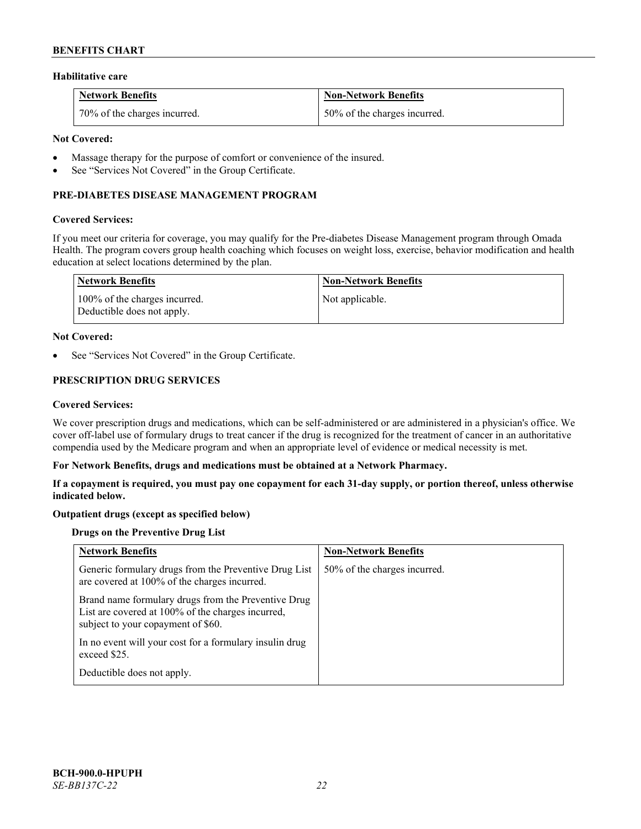### **Habilitative care**

| <b>Network Benefits</b>      | <b>Non-Network Benefits</b>  |
|------------------------------|------------------------------|
| 70% of the charges incurred. | 50% of the charges incurred. |

### **Not Covered:**

- Massage therapy for the purpose of comfort or convenience of the insured.
- See "Services Not Covered" in the Group Certificate.

### **PRE-DIABETES DISEASE MANAGEMENT PROGRAM**

#### **Covered Services:**

If you meet our criteria for coverage, you may qualify for the Pre-diabetes Disease Management program through Omada Health. The program covers group health coaching which focuses on weight loss, exercise, behavior modification and health education at select locations determined by the plan.

| Network Benefits                                            | <b>Non-Network Benefits</b> |
|-------------------------------------------------------------|-----------------------------|
| 100% of the charges incurred.<br>Deductible does not apply. | Not applicable.             |

#### **Not Covered:**

See "Services Not Covered" in the Group Certificate.

# **PRESCRIPTION DRUG SERVICES**

#### **Covered Services:**

We cover prescription drugs and medications, which can be self-administered or are administered in a physician's office. We cover off-label use of formulary drugs to treat cancer if the drug is recognized for the treatment of cancer in an authoritative compendia used by the Medicare program and when an appropriate level of evidence or medical necessity is met.

#### **For Network Benefits, drugs and medications must be obtained at a Network Pharmacy.**

**If a copayment is required, you must pay one copayment for each 31-day supply, or portion thereof, unless otherwise indicated below.**

### **Outpatient drugs (except as specified below)**

### **Drugs on the Preventive Drug List**

| <b>Network Benefits</b>                                                                                                                        | <b>Non-Network Benefits</b>  |
|------------------------------------------------------------------------------------------------------------------------------------------------|------------------------------|
| Generic formulary drugs from the Preventive Drug List<br>are covered at 100% of the charges incurred.                                          | 50% of the charges incurred. |
| Brand name formulary drugs from the Preventive Drug<br>List are covered at 100% of the charges incurred,<br>subject to your copayment of \$60. |                              |
| In no event will your cost for a formulary insulin drug<br>exceed \$25.                                                                        |                              |
| Deductible does not apply.                                                                                                                     |                              |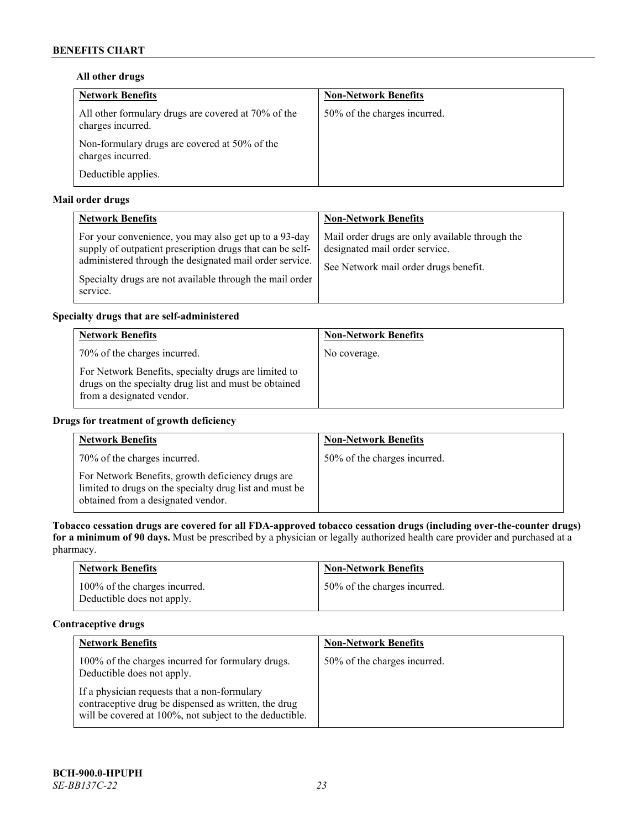## **All other drugs**

| <b>Network Benefits</b>                                                  | <b>Non-Network Benefits</b>  |
|--------------------------------------------------------------------------|------------------------------|
| All other formulary drugs are covered at 70% of the<br>charges incurred. | 50% of the charges incurred. |
| Non-formulary drugs are covered at 50% of the<br>charges incurred.       |                              |
| Deductible applies.                                                      |                              |

# **Mail order drugs**

| <b>Network Benefits</b>                                                                                                                                                                                                                               | <b>Non-Network Benefits</b>                                                                                                |
|-------------------------------------------------------------------------------------------------------------------------------------------------------------------------------------------------------------------------------------------------------|----------------------------------------------------------------------------------------------------------------------------|
| For your convenience, you may also get up to a 93-day<br>supply of outpatient prescription drugs that can be self-<br>administered through the designated mail order service.<br>Specialty drugs are not available through the mail order<br>service. | Mail order drugs are only available through the<br>designated mail order service.<br>See Network mail order drugs benefit. |

# **Specialty drugs that are self-administered**

| <b>Network Benefits</b>                                                                                                                    | <b>Non-Network Benefits</b> |
|--------------------------------------------------------------------------------------------------------------------------------------------|-----------------------------|
| 70% of the charges incurred.                                                                                                               | No coverage.                |
| For Network Benefits, specialty drugs are limited to<br>drugs on the specialty drug list and must be obtained<br>from a designated vendor. |                             |

# **Drugs for treatment of growth deficiency**

| <b>Network Benefits</b>                                                                                                                            | <b>Non-Network Benefits</b>  |
|----------------------------------------------------------------------------------------------------------------------------------------------------|------------------------------|
| 70% of the charges incurred.                                                                                                                       | 50% of the charges incurred. |
| For Network Benefits, growth deficiency drugs are<br>limited to drugs on the specialty drug list and must be<br>obtained from a designated vendor. |                              |

**Tobacco cessation drugs are covered for all FDA-approved tobacco cessation drugs (including over-the-counter drugs) for a minimum of 90 days.** Must be prescribed by a physician or legally authorized health care provider and purchased at a pharmacy.

| <b>Network Benefits</b>                                     | <b>Non-Network Benefits</b>  |
|-------------------------------------------------------------|------------------------------|
| 100% of the charges incurred.<br>Deductible does not apply. | 50% of the charges incurred. |

# **Contraceptive drugs**

| <b>Network Benefits</b>                                                                                                                                         | <b>Non-Network Benefits</b>  |
|-----------------------------------------------------------------------------------------------------------------------------------------------------------------|------------------------------|
| 100% of the charges incurred for formulary drugs.<br>Deductible does not apply.                                                                                 | 50% of the charges incurred. |
| If a physician requests that a non-formulary<br>contraceptive drug be dispensed as written, the drug<br>will be covered at 100%, not subject to the deductible. |                              |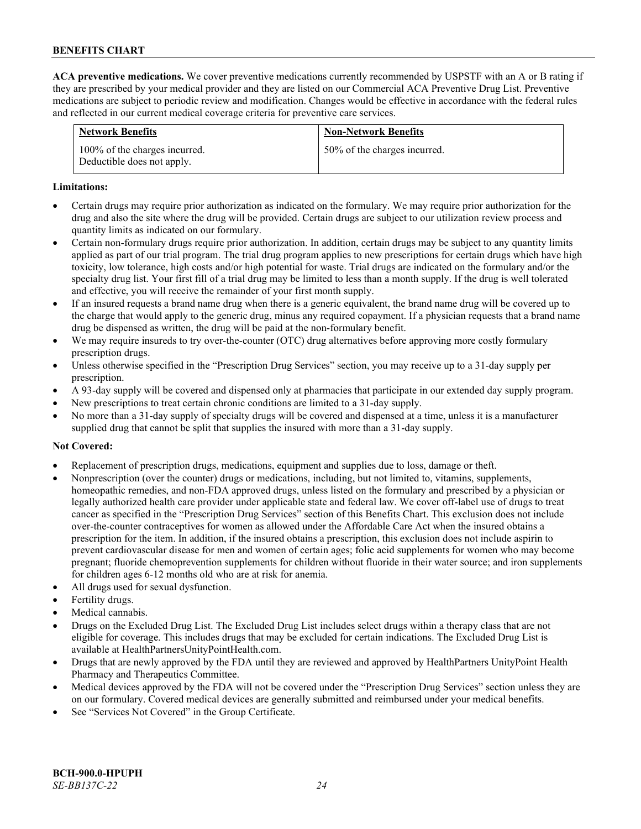**ACA preventive medications.** We cover preventive medications currently recommended by USPSTF with an A or B rating if they are prescribed by your medical provider and they are listed on our Commercial ACA Preventive Drug List. Preventive medications are subject to periodic review and modification. Changes would be effective in accordance with the federal rules and reflected in our current medical coverage criteria for preventive care services.

| <b>Network Benefits</b>                                     | <b>Non-Network Benefits</b>  |
|-------------------------------------------------------------|------------------------------|
| 100% of the charges incurred.<br>Deductible does not apply. | 50% of the charges incurred. |

#### **Limitations:**

- Certain drugs may require prior authorization as indicated on the formulary. We may require prior authorization for the drug and also the site where the drug will be provided. Certain drugs are subject to our utilization review process and quantity limits as indicated on our formulary.
- Certain non-formulary drugs require prior authorization. In addition, certain drugs may be subject to any quantity limits applied as part of our trial program. The trial drug program applies to new prescriptions for certain drugs which have high toxicity, low tolerance, high costs and/or high potential for waste. Trial drugs are indicated on the formulary and/or the specialty drug list. Your first fill of a trial drug may be limited to less than a month supply. If the drug is well tolerated and effective, you will receive the remainder of your first month supply.
- If an insured requests a brand name drug when there is a generic equivalent, the brand name drug will be covered up to the charge that would apply to the generic drug, minus any required copayment. If a physician requests that a brand name drug be dispensed as written, the drug will be paid at the non-formulary benefit.
- We may require insureds to try over-the-counter (OTC) drug alternatives before approving more costly formulary prescription drugs.
- Unless otherwise specified in the "Prescription Drug Services" section, you may receive up to a 31-day supply per prescription.
- A 93-day supply will be covered and dispensed only at pharmacies that participate in our extended day supply program.
- New prescriptions to treat certain chronic conditions are limited to a 31-day supply.
- No more than a 31-day supply of specialty drugs will be covered and dispensed at a time, unless it is a manufacturer supplied drug that cannot be split that supplies the insured with more than a 31-day supply.

### **Not Covered:**

- Replacement of prescription drugs, medications, equipment and supplies due to loss, damage or theft.
- Nonprescription (over the counter) drugs or medications, including, but not limited to, vitamins, supplements, homeopathic remedies, and non-FDA approved drugs, unless listed on the formulary and prescribed by a physician or legally authorized health care provider under applicable state and federal law. We cover off-label use of drugs to treat cancer as specified in the "Prescription Drug Services" section of this Benefits Chart. This exclusion does not include over-the-counter contraceptives for women as allowed under the Affordable Care Act when the insured obtains a prescription for the item. In addition, if the insured obtains a prescription, this exclusion does not include aspirin to prevent cardiovascular disease for men and women of certain ages; folic acid supplements for women who may become pregnant; fluoride chemoprevention supplements for children without fluoride in their water source; and iron supplements for children ages 6-12 months old who are at risk for anemia.
- All drugs used for sexual dysfunction.
- Fertility drugs.
- Medical cannabis.
- Drugs on the Excluded Drug List. The Excluded Drug List includes select drugs within a therapy class that are not eligible for coverage. This includes drugs that may be excluded for certain indications. The Excluded Drug List is available a[t HealthPartnersUnityPointHealth.com.](https://www.healthpartnersunitypointhealth.com/)
- Drugs that are newly approved by the FDA until they are reviewed and approved by HealthPartners UnityPoint Health Pharmacy and Therapeutics Committee.
- Medical devices approved by the FDA will not be covered under the "Prescription Drug Services" section unless they are on our formulary. Covered medical devices are generally submitted and reimbursed under your medical benefits.
- See "Services Not Covered" in the Group Certificate.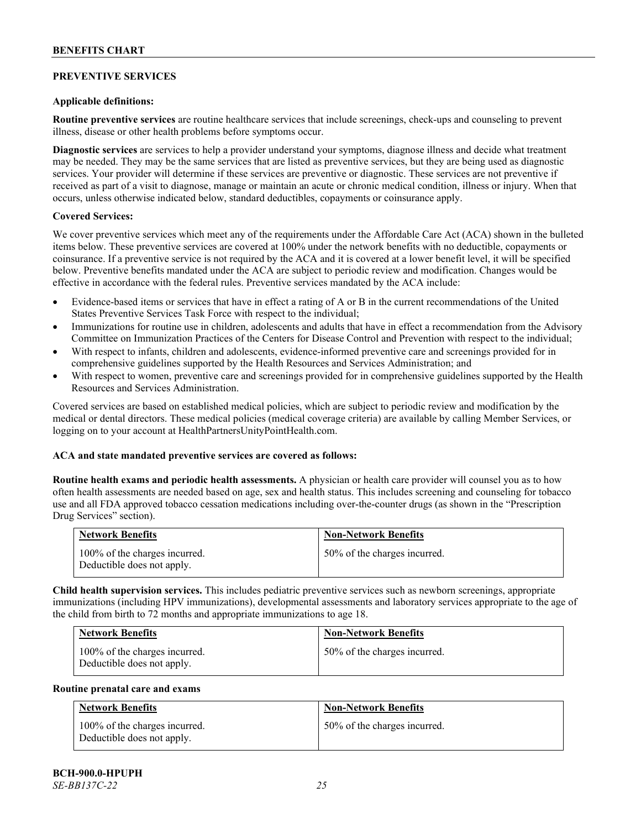# **PREVENTIVE SERVICES**

### **Applicable definitions:**

**Routine preventive services** are routine healthcare services that include screenings, check-ups and counseling to prevent illness, disease or other health problems before symptoms occur.

**Diagnostic services** are services to help a provider understand your symptoms, diagnose illness and decide what treatment may be needed. They may be the same services that are listed as preventive services, but they are being used as diagnostic services. Your provider will determine if these services are preventive or diagnostic. These services are not preventive if received as part of a visit to diagnose, manage or maintain an acute or chronic medical condition, illness or injury. When that occurs, unless otherwise indicated below, standard deductibles, copayments or coinsurance apply.

#### **Covered Services:**

We cover preventive services which meet any of the requirements under the Affordable Care Act (ACA) shown in the bulleted items below. These preventive services are covered at 100% under the network benefits with no deductible, copayments or coinsurance. If a preventive service is not required by the ACA and it is covered at a lower benefit level, it will be specified below. Preventive benefits mandated under the ACA are subject to periodic review and modification. Changes would be effective in accordance with the federal rules. Preventive services mandated by the ACA include:

- Evidence-based items or services that have in effect a rating of A or B in the current recommendations of the United States Preventive Services Task Force with respect to the individual;
- Immunizations for routine use in children, adolescents and adults that have in effect a recommendation from the Advisory Committee on Immunization Practices of the Centers for Disease Control and Prevention with respect to the individual;
- With respect to infants, children and adolescents, evidence-informed preventive care and screenings provided for in comprehensive guidelines supported by the Health Resources and Services Administration; and
- With respect to women, preventive care and screenings provided for in comprehensive guidelines supported by the Health Resources and Services Administration.

Covered services are based on established medical policies, which are subject to periodic review and modification by the medical or dental directors. These medical policies (medical coverage criteria) are available by calling Member Services, or logging on to your account at [HealthPartnersUnityPointHealth.com.](https://www.healthpartnersunitypointhealth.com/)

### **ACA and state mandated preventive services are covered as follows:**

**Routine health exams and periodic health assessments.** A physician or health care provider will counsel you as to how often health assessments are needed based on age, sex and health status. This includes screening and counseling for tobacco use and all FDA approved tobacco cessation medications including over-the-counter drugs (as shown in the "Prescription Drug Services" section).

| <b>Network Benefits</b>                                     | <b>Non-Network Benefits</b>  |
|-------------------------------------------------------------|------------------------------|
| 100% of the charges incurred.<br>Deductible does not apply. | 50% of the charges incurred. |

**Child health supervision services.** This includes pediatric preventive services such as newborn screenings, appropriate immunizations (including HPV immunizations), developmental assessments and laboratory services appropriate to the age of the child from birth to 72 months and appropriate immunizations to age 18.

| <b>Network Benefits</b>                                     | <b>Non-Network Benefits</b>  |
|-------------------------------------------------------------|------------------------------|
| 100% of the charges incurred.<br>Deductible does not apply. | 50% of the charges incurred. |

#### **Routine prenatal care and exams**

| <b>Network Benefits</b>                                     | <b>Non-Network Benefits</b>  |
|-------------------------------------------------------------|------------------------------|
| 100% of the charges incurred.<br>Deductible does not apply. | 50% of the charges incurred. |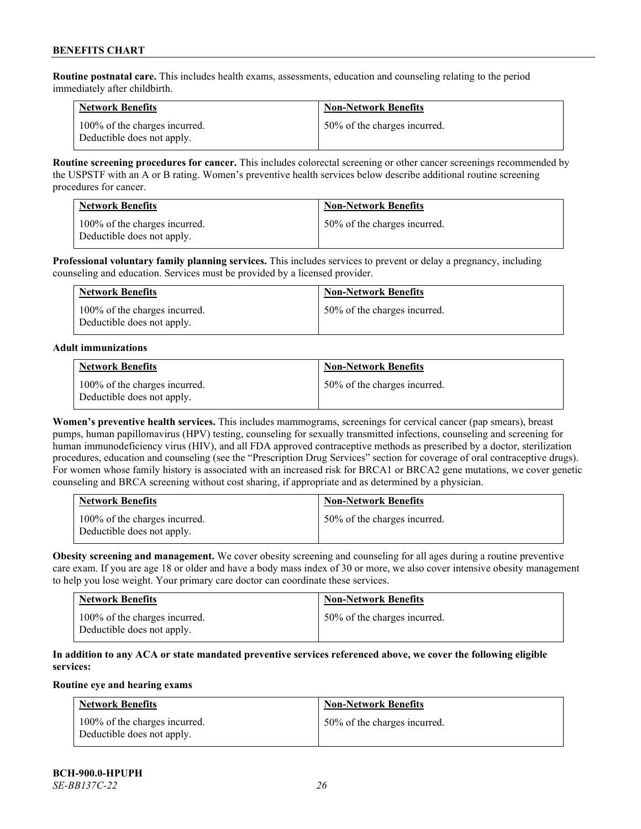**Routine postnatal care.** This includes health exams, assessments, education and counseling relating to the period immediately after childbirth.

| <b>Network Benefits</b>                                     | <b>Non-Network Benefits</b>  |
|-------------------------------------------------------------|------------------------------|
| 100% of the charges incurred.<br>Deductible does not apply. | 50% of the charges incurred. |

**Routine screening procedures for cancer.** This includes colorectal screening or other cancer screenings recommended by the USPSTF with an A or B rating. Women's preventive health services below describe additional routine screening procedures for cancer.

| <b>Network Benefits</b>                                     | <b>Non-Network Benefits</b>  |
|-------------------------------------------------------------|------------------------------|
| 100% of the charges incurred.<br>Deductible does not apply. | 50% of the charges incurred. |

**Professional voluntary family planning services.** This includes services to prevent or delay a pregnancy, including counseling and education. Services must be provided by a licensed provider.

| <b>Network Benefits</b>                                     | <b>Non-Network Benefits</b>  |
|-------------------------------------------------------------|------------------------------|
| 100% of the charges incurred.<br>Deductible does not apply. | 50% of the charges incurred. |

#### **Adult immunizations**

| <b>Network Benefits</b>                                     | <b>Non-Network Benefits</b>  |
|-------------------------------------------------------------|------------------------------|
| 100% of the charges incurred.<br>Deductible does not apply. | 50% of the charges incurred. |

**Women's preventive health services.** This includes mammograms, screenings for cervical cancer (pap smears), breast pumps, human papillomavirus (HPV) testing, counseling for sexually transmitted infections, counseling and screening for human immunodeficiency virus (HIV), and all FDA approved contraceptive methods as prescribed by a doctor, sterilization procedures, education and counseling (see the "Prescription Drug Services" section for coverage of oral contraceptive drugs). For women whose family history is associated with an increased risk for BRCA1 or BRCA2 gene mutations, we cover genetic counseling and BRCA screening without cost sharing, if appropriate and as determined by a physician.

| <b>Network Benefits</b>                                     | <b>Non-Network Benefits</b>  |
|-------------------------------------------------------------|------------------------------|
| 100% of the charges incurred.<br>Deductible does not apply. | 50% of the charges incurred. |

**Obesity screening and management.** We cover obesity screening and counseling for all ages during a routine preventive care exam. If you are age 18 or older and have a body mass index of 30 or more, we also cover intensive obesity management to help you lose weight. Your primary care doctor can coordinate these services.

| <b>Network Benefits</b>                                     | <b>Non-Network Benefits</b>  |
|-------------------------------------------------------------|------------------------------|
| 100% of the charges incurred.<br>Deductible does not apply. | 50% of the charges incurred. |

### **In addition to any ACA or state mandated preventive services referenced above, we cover the following eligible services:**

### **Routine eye and hearing exams**

| <b>Network Benefits</b>                                     | <b>Non-Network Benefits</b>  |
|-------------------------------------------------------------|------------------------------|
| 100% of the charges incurred.<br>Deductible does not apply. | 50% of the charges incurred. |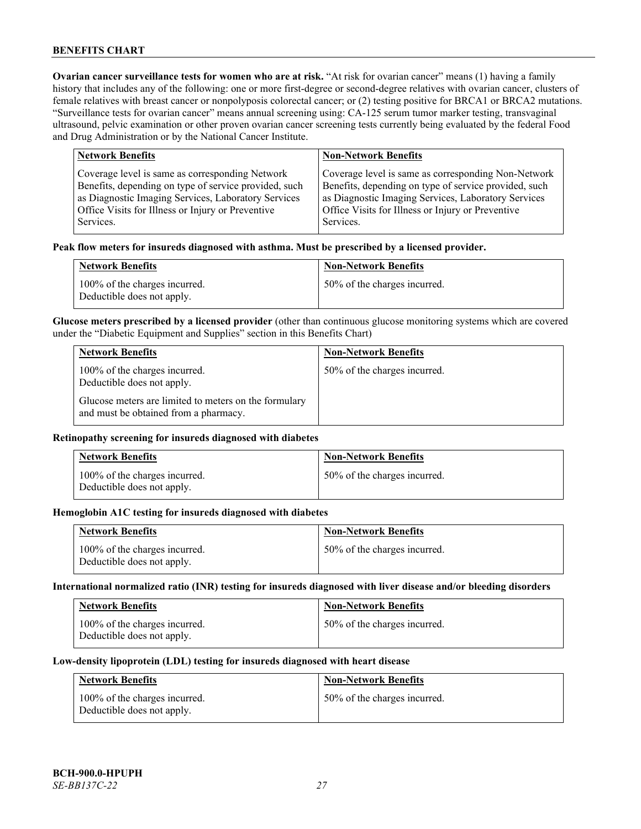**Ovarian cancer surveillance tests for women who are at risk. "At risk for ovarian cancer" means (1) having a family** history that includes any of the following: one or more first-degree or second-degree relatives with ovarian cancer, clusters of female relatives with breast cancer or nonpolyposis colorectal cancer; or (2) testing positive for BRCA1 or BRCA2 mutations. "Surveillance tests for ovarian cancer" means annual screening using: CA-125 serum tumor marker testing, transvaginal ultrasound, pelvic examination or other proven ovarian cancer screening tests currently being evaluated by the federal Food and Drug Administration or by the National Cancer Institute.

| <b>Network Benefits</b>                               | <b>Non-Network Benefits</b>                           |
|-------------------------------------------------------|-------------------------------------------------------|
| Coverage level is same as corresponding Network       | Coverage level is same as corresponding Non-Network   |
| Benefits, depending on type of service provided, such | Benefits, depending on type of service provided, such |
| as Diagnostic Imaging Services, Laboratory Services   | as Diagnostic Imaging Services, Laboratory Services   |
| Office Visits for Illness or Injury or Preventive     | Office Visits for Illness or Injury or Preventive     |
| Services.                                             | Services.                                             |

#### **Peak flow meters for insureds diagnosed with asthma. Must be prescribed by a licensed provider.**

| <b>Network Benefits</b>                                     | <b>Non-Network Benefits</b>  |
|-------------------------------------------------------------|------------------------------|
| 100% of the charges incurred.<br>Deductible does not apply. | 50% of the charges incurred. |

**Glucose meters prescribed by a licensed provider** (other than continuous glucose monitoring systems which are covered under the "Diabetic Equipment and Supplies" section in this Benefits Chart)

| <b>Network Benefits</b>                                                                        | <b>Non-Network Benefits</b>  |
|------------------------------------------------------------------------------------------------|------------------------------|
| 100% of the charges incurred.<br>Deductible does not apply.                                    | 50% of the charges incurred. |
| Glucose meters are limited to meters on the formulary<br>and must be obtained from a pharmacy. |                              |

### **Retinopathy screening for insureds diagnosed with diabetes**

| <b>Network Benefits</b>                                     | <b>Non-Network Benefits</b>  |
|-------------------------------------------------------------|------------------------------|
| 100% of the charges incurred.<br>Deductible does not apply. | 50% of the charges incurred. |

#### **Hemoglobin A1C testing for insureds diagnosed with diabetes**

| <b>Network Benefits</b>                                     | <b>Non-Network Benefits</b>  |
|-------------------------------------------------------------|------------------------------|
| 100% of the charges incurred.<br>Deductible does not apply. | 50% of the charges incurred. |

### **International normalized ratio (INR) testing for insureds diagnosed with liver disease and/or bleeding disorders**

| <b>Network Benefits</b>                                     | <b>Non-Network Benefits</b>  |
|-------------------------------------------------------------|------------------------------|
| 100% of the charges incurred.<br>Deductible does not apply. | 50% of the charges incurred. |

#### **Low-density lipoprotein (LDL) testing for insureds diagnosed with heart disease**

| <b>Network Benefits</b>                                     | <b>Non-Network Benefits</b>  |
|-------------------------------------------------------------|------------------------------|
| 100% of the charges incurred.<br>Deductible does not apply. | 50% of the charges incurred. |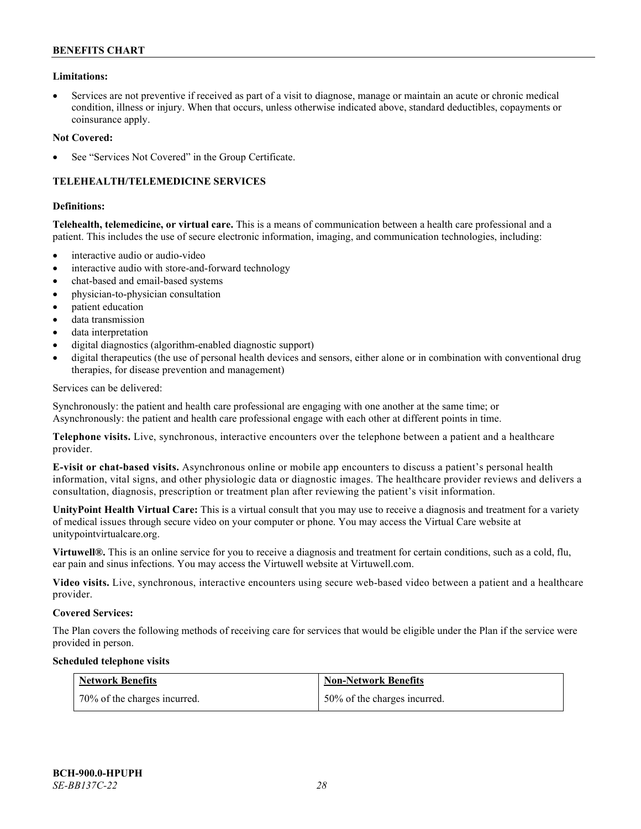### **Limitations:**

• Services are not preventive if received as part of a visit to diagnose, manage or maintain an acute or chronic medical condition, illness or injury. When that occurs, unless otherwise indicated above, standard deductibles, copayments or coinsurance apply.

#### **Not Covered:**

See "Services Not Covered" in the Group Certificate.

# **TELEHEALTH/TELEMEDICINE SERVICES**

#### **Definitions:**

**Telehealth, telemedicine, or virtual care.** This is a means of communication between a health care professional and a patient. This includes the use of secure electronic information, imaging, and communication technologies, including:

- interactive audio or audio-video
- interactive audio with store-and-forward technology
- chat-based and email-based systems
- physician-to-physician consultation
- patient education
- data transmission
- data interpretation
- digital diagnostics (algorithm-enabled diagnostic support)
- digital therapeutics (the use of personal health devices and sensors, either alone or in combination with conventional drug therapies, for disease prevention and management)

#### Services can be delivered:

Synchronously: the patient and health care professional are engaging with one another at the same time; or Asynchronously: the patient and health care professional engage with each other at different points in time.

**Telephone visits.** Live, synchronous, interactive encounters over the telephone between a patient and a healthcare provider.

**E-visit or chat-based visits.** Asynchronous online or mobile app encounters to discuss a patient's personal health information, vital signs, and other physiologic data or diagnostic images. The healthcare provider reviews and delivers a consultation, diagnosis, prescription or treatment plan after reviewing the patient's visit information.

**UnityPoint Health Virtual Care:** This is a virtual consult that you may use to receive a diagnosis and treatment for a variety of medical issues through secure video on your computer or phone. You may access the Virtual Care website at [unitypointvirtualcare.org.](https://unitypointvirtualcare.org/landing.htm)

**Virtuwell®.** This is an online service for you to receive a diagnosis and treatment for certain conditions, such as a cold, flu, ear pain and sinus infections. You may access the Virtuwell website at [Virtuwell.com.](https://www.virtuwell.com/)

**Video visits.** Live, synchronous, interactive encounters using secure web-based video between a patient and a healthcare provider.

#### **Covered Services:**

The Plan covers the following methods of receiving care for services that would be eligible under the Plan if the service were provided in person.

#### **Scheduled telephone visits**

| Network Benefits             | <b>Non-Network Benefits</b>  |
|------------------------------|------------------------------|
| 70% of the charges incurred. | 50% of the charges incurred. |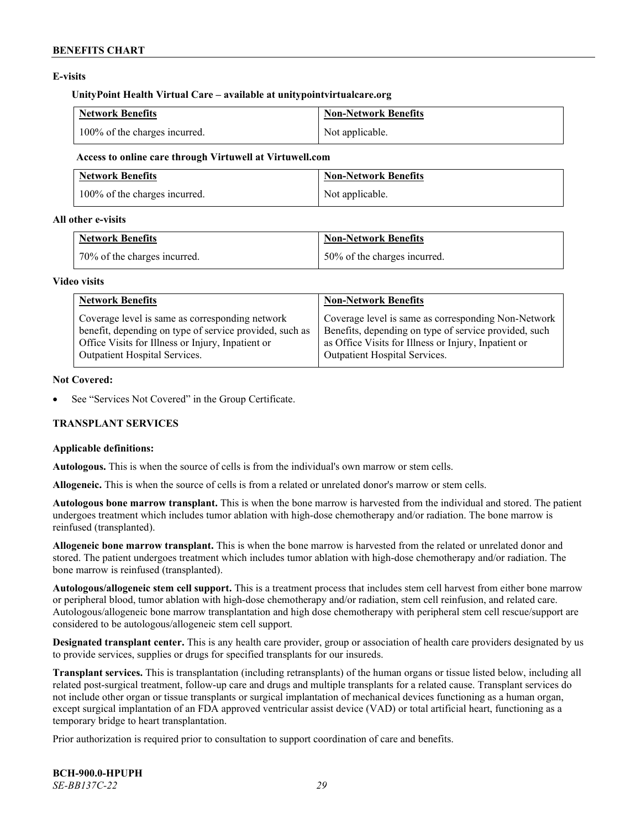### **E-visits**

#### **UnityPoint Health Virtual Care – available at [unitypointvirtualcare.org](http://www.unitypointvirtualcare.org/)**

| <b>Network Benefits</b>       | <b>Non-Network Benefits</b> |
|-------------------------------|-----------------------------|
| 100% of the charges incurred. | Not applicable.             |

#### **Access to online care through Virtuwell at [Virtuwell.com](http://www.virtuwell.com/)**

| <b>Network Benefits</b>       | Non-Network Benefits |
|-------------------------------|----------------------|
| 100% of the charges incurred. | Not applicable.      |

### **All other e-visits**

| <b>Network Benefits</b>      | <b>Non-Network Benefits</b>  |
|------------------------------|------------------------------|
| 70% of the charges incurred. | 50% of the charges incurred. |

#### **Video visits**

| <b>Network Benefits</b>                                 | <b>Non-Network Benefits</b>                           |
|---------------------------------------------------------|-------------------------------------------------------|
| Coverage level is same as corresponding network         | Coverage level is same as corresponding Non-Network   |
| benefit, depending on type of service provided, such as | Benefits, depending on type of service provided, such |
| Office Visits for Illness or Injury, Inpatient or       | as Office Visits for Illness or Injury, Inpatient or  |
| Outpatient Hospital Services.                           | Outpatient Hospital Services.                         |

### **Not Covered:**

See "Services Not Covered" in the Group Certificate.

### **TRANSPLANT SERVICES**

### **Applicable definitions:**

**Autologous.** This is when the source of cells is from the individual's own marrow or stem cells.

**Allogeneic.** This is when the source of cells is from a related or unrelated donor's marrow or stem cells.

**Autologous bone marrow transplant.** This is when the bone marrow is harvested from the individual and stored. The patient undergoes treatment which includes tumor ablation with high-dose chemotherapy and/or radiation. The bone marrow is reinfused (transplanted).

**Allogeneic bone marrow transplant.** This is when the bone marrow is harvested from the related or unrelated donor and stored. The patient undergoes treatment which includes tumor ablation with high-dose chemotherapy and/or radiation. The bone marrow is reinfused (transplanted).

**Autologous/allogeneic stem cell support.** This is a treatment process that includes stem cell harvest from either bone marrow or peripheral blood, tumor ablation with high-dose chemotherapy and/or radiation, stem cell reinfusion, and related care. Autologous/allogeneic bone marrow transplantation and high dose chemotherapy with peripheral stem cell rescue/support are considered to be autologous/allogeneic stem cell support.

**Designated transplant center.** This is any health care provider, group or association of health care providers designated by us to provide services, supplies or drugs for specified transplants for our insureds.

**Transplant services.** This is transplantation (including retransplants) of the human organs or tissue listed below, including all related post-surgical treatment, follow-up care and drugs and multiple transplants for a related cause. Transplant services do not include other organ or tissue transplants or surgical implantation of mechanical devices functioning as a human organ, except surgical implantation of an FDA approved ventricular assist device (VAD) or total artificial heart, functioning as a temporary bridge to heart transplantation.

Prior authorization is required prior to consultation to support coordination of care and benefits.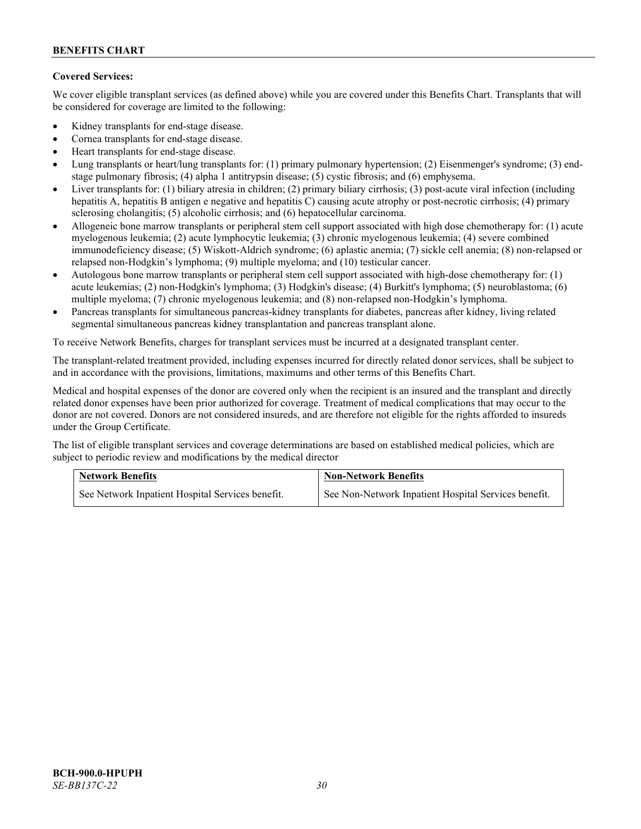# **Covered Services:**

We cover eligible transplant services (as defined above) while you are covered under this Benefits Chart. Transplants that will be considered for coverage are limited to the following:

- Kidney transplants for end-stage disease.
- Cornea transplants for end-stage disease.
- Heart transplants for end-stage disease.
- Lung transplants or heart/lung transplants for: (1) primary pulmonary hypertension; (2) Eisenmenger's syndrome; (3) endstage pulmonary fibrosis; (4) alpha 1 antitrypsin disease; (5) cystic fibrosis; and (6) emphysema.
- Liver transplants for: (1) biliary atresia in children; (2) primary biliary cirrhosis; (3) post-acute viral infection (including hepatitis A, hepatitis B antigen e negative and hepatitis C) causing acute atrophy or post-necrotic cirrhosis; (4) primary sclerosing cholangitis; (5) alcoholic cirrhosis; and (6) hepatocellular carcinoma.
- Allogeneic bone marrow transplants or peripheral stem cell support associated with high dose chemotherapy for: (1) acute myelogenous leukemia; (2) acute lymphocytic leukemia; (3) chronic myelogenous leukemia; (4) severe combined immunodeficiency disease; (5) Wiskott-Aldrich syndrome; (6) aplastic anemia; (7) sickle cell anemia; (8) non-relapsed or relapsed non-Hodgkin's lymphoma; (9) multiple myeloma; and (10) testicular cancer.
- Autologous bone marrow transplants or peripheral stem cell support associated with high-dose chemotherapy for: (1) acute leukemias; (2) non-Hodgkin's lymphoma; (3) Hodgkin's disease; (4) Burkitt's lymphoma; (5) neuroblastoma; (6) multiple myeloma; (7) chronic myelogenous leukemia; and (8) non-relapsed non-Hodgkin's lymphoma.
- Pancreas transplants for simultaneous pancreas-kidney transplants for diabetes, pancreas after kidney, living related segmental simultaneous pancreas kidney transplantation and pancreas transplant alone.

To receive Network Benefits, charges for transplant services must be incurred at a designated transplant center.

The transplant-related treatment provided, including expenses incurred for directly related donor services, shall be subject to and in accordance with the provisions, limitations, maximums and other terms of this Benefits Chart.

Medical and hospital expenses of the donor are covered only when the recipient is an insured and the transplant and directly related donor expenses have been prior authorized for coverage. Treatment of medical complications that may occur to the donor are not covered. Donors are not considered insureds, and are therefore not eligible for the rights afforded to insureds under the Group Certificate.

The list of eligible transplant services and coverage determinations are based on established medical policies, which are subject to periodic review and modifications by the medical director

| <b>Network Benefits</b>                          | <b>Non-Network Benefits</b>                          |  |
|--------------------------------------------------|------------------------------------------------------|--|
| See Network Inpatient Hospital Services benefit. | See Non-Network Inpatient Hospital Services benefit. |  |